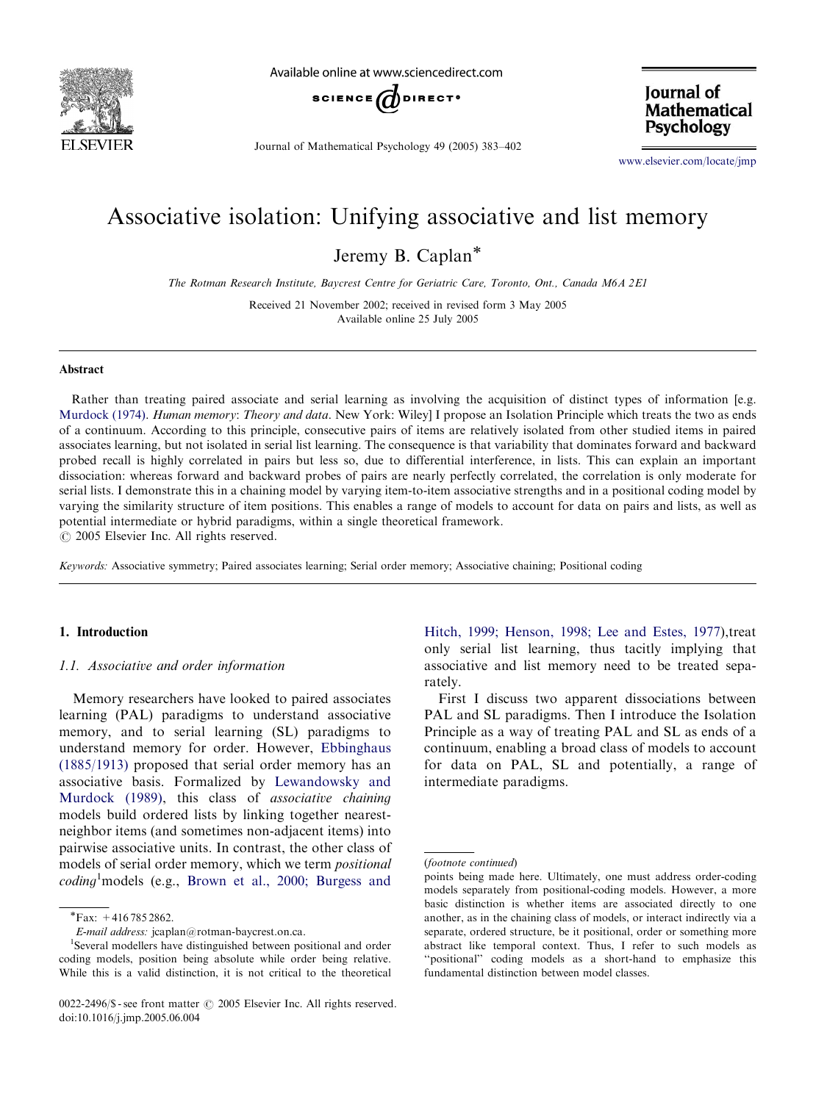

Available online at www.sciencedirect.com



Journal of Mathematical Psychology 49 (2005) 383–402

**Iournal of Mathematical Psychology** 

<www.elsevier.com/locate/jmp>

# Associative isolation: Unifying associative and list memory

Jeremy B. Caplan

The Rotman Research Institute, Baycrest Centre for Geriatric Care, Toronto, Ont., Canada M6A 2E1

Received 21 November 2002; received in revised form 3 May 2005 Available online 25 July 2005

#### Abstract

Rather than treating paired associate and serial learning as involving the acquisition of distinct types of information [e.g. [Murdock \(1974\).](#page-19-0) Human memory: Theory and data. New York: Wiley] I propose an Isolation Principle which treats the two as ends of a continuum. According to this principle, consecutive pairs of items are relatively isolated from other studied items in paired associates learning, but not isolated in serial list learning. The consequence is that variability that dominates forward and backward probed recall is highly correlated in pairs but less so, due to differential interference, in lists. This can explain an important dissociation: whereas forward and backward probes of pairs are nearly perfectly correlated, the correlation is only moderate for serial lists. I demonstrate this in a chaining model by varying item-to-item associative strengths and in a positional coding model by varying the similarity structure of item positions. This enables a range of models to account for data on pairs and lists, as well as potential intermediate or hybrid paradigms, within a single theoretical framework.

 $\odot$  2005 Elsevier Inc. All rights reserved.

Keywords: Associative symmetry; Paired associates learning; Serial order memory; Associative chaining; Positional coding

# 1. Introduction

## 1.1. Associative and order information

Memory researchers have looked to paired associates learning (PAL) paradigms to understand associative memory, and to serial learning (SL) paradigms to understand memory for order. However, [Ebbinghaus](#page-18-0) [\(1885/1913\)](#page-18-0) proposed that serial order memory has an associative basis. Formalized by [Lewandowsky and](#page-19-0) [Murdock \(1989\)](#page-19-0), this class of associative chaining models build ordered lists by linking together nearestneighbor items (and sometimes non-adjacent items) into pairwise associative units. In contrast, the other class of models of serial order memory, which we term positional coding<sup>1</sup> models (e.g., [Brown et al., 2000; Burgess and](#page-18-0)

[Hitch, 1999; Henson, 1998; Lee and Estes, 1977\)](#page-18-0),treat only serial list learning, thus tacitly implying that associative and list memory need to be treated separately.

First I discuss two apparent dissociations between PAL and SL paradigms. Then I introduce the Isolation Principle as a way of treating PAL and SL as ends of a continuum, enabling a broad class of models to account for data on PAL, SL and potentially, a range of intermediate paradigms.

(footnote continued)

 $*Fax: +4167852862.$ 

E-mail address: jcaplan@rotman-baycrest.on.ca. <sup>1</sup>

<sup>&</sup>lt;sup>1</sup>Several modellers have distinguished between positional and order coding models, position being absolute while order being relative. While this is a valid distinction, it is not critical to the theoretical

 $0022 - 2496$ /\$ - see front matter  $\odot$  2005 Elsevier Inc. All rights reserved. doi:10.1016/j.jmp.2005.06.004

points being made here. Ultimately, one must address order-coding models separately from positional-coding models. However, a more basic distinction is whether items are associated directly to one another, as in the chaining class of models, or interact indirectly via a separate, ordered structure, be it positional, order or something more abstract like temporal context. Thus, I refer to such models as "positional" coding models as a short-hand to emphasize this fundamental distinction between model classes.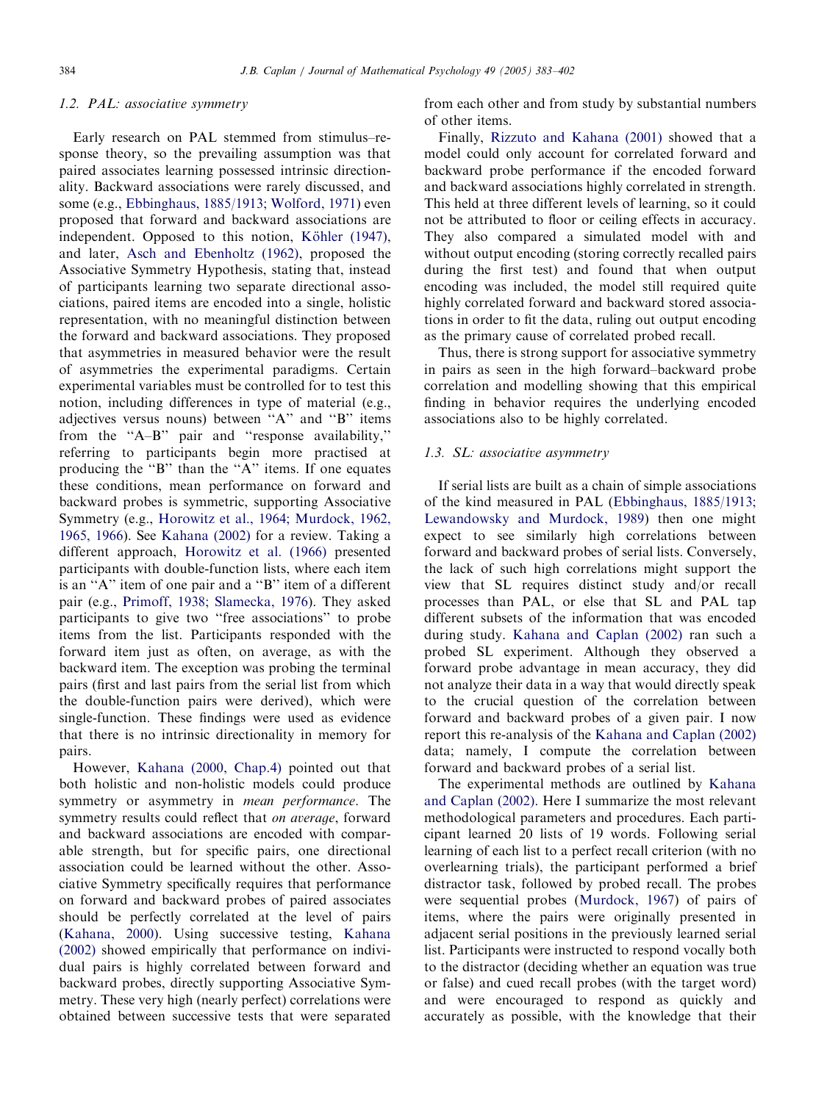## 1.2. PAL: associative symmetry

Early research on PAL stemmed from stimulus–response theory, so the prevailing assumption was that paired associates learning possessed intrinsic directionality. Backward associations were rarely discussed, and some (e.g., [Ebbinghaus, 1885/1913; Wolford, 1971](#page-18-0)) even proposed that forward and backward associations are independent. Opposed to this notion, Köhler (1947), and later, [Asch and Ebenholtz \(1962\)](#page-18-0), proposed the Associative Symmetry Hypothesis, stating that, instead of participants learning two separate directional associations, paired items are encoded into a single, holistic representation, with no meaningful distinction between the forward and backward associations. They proposed that asymmetries in measured behavior were the result of asymmetries the experimental paradigms. Certain experimental variables must be controlled for to test this notion, including differences in type of material (e.g., adjectives versus nouns) between ''A'' and ''B'' items from the ''A–B'' pair and ''response availability,'' referring to participants begin more practised at producing the "B" than the "A" items. If one equates these conditions, mean performance on forward and backward probes is symmetric, supporting Associative Symmetry (e.g., [Horowitz et al., 1964; Murdock, 1962,](#page-19-0) [1965, 1966\)](#page-19-0). See [Kahana \(2002\)](#page-19-0) for a review. Taking a different approach, [Horowitz et al. \(1966\)](#page-19-0) presented participants with double-function lists, where each item is an ''A'' item of one pair and a ''B'' item of a different pair (e.g., [Primoff, 1938; Slamecka, 1976\)](#page-19-0). They asked participants to give two ''free associations'' to probe items from the list. Participants responded with the forward item just as often, on average, as with the backward item. The exception was probing the terminal pairs (first and last pairs from the serial list from which the double-function pairs were derived), which were single-function. These findings were used as evidence that there is no intrinsic directionality in memory for pairs.

However, [Kahana \(2000, Chap.4\)](#page-19-0) pointed out that both holistic and non-holistic models could produce symmetry or asymmetry in mean performance. The symmetry results could reflect that on average, forward and backward associations are encoded with comparable strength, but for specific pairs, one directional association could be learned without the other. Associative Symmetry specifically requires that performance on forward and backward probes of paired associates should be perfectly correlated at the level of pairs ([Kahana, 2000\)](#page-19-0). Using successive testing, [Kahana](#page-19-0) [\(2002\)](#page-19-0) showed empirically that performance on individual pairs is highly correlated between forward and backward probes, directly supporting Associative Symmetry. These very high (nearly perfect) correlations were obtained between successive tests that were separated

from each other and from study by substantial numbers of other items.

Finally, [Rizzuto and Kahana \(2001\)](#page-19-0) showed that a model could only account for correlated forward and backward probe performance if the encoded forward and backward associations highly correlated in strength. This held at three different levels of learning, so it could not be attributed to floor or ceiling effects in accuracy. They also compared a simulated model with and without output encoding (storing correctly recalled pairs during the first test) and found that when output encoding was included, the model still required quite highly correlated forward and backward stored associations in order to fit the data, ruling out output encoding as the primary cause of correlated probed recall.

Thus, there is strong support for associative symmetry in pairs as seen in the high forward–backward probe correlation and modelling showing that this empirical finding in behavior requires the underlying encoded associations also to be highly correlated.

## 1.3. SL: associative asymmetry

If serial lists are built as a chain of simple associations of the kind measured in PAL ([Ebbinghaus, 1885/1913;](#page-18-0) [Lewandowsky and Murdock, 1989](#page-18-0)) then one might expect to see similarly high correlations between forward and backward probes of serial lists. Conversely, the lack of such high correlations might support the view that SL requires distinct study and/or recall processes than PAL, or else that SL and PAL tap different subsets of the information that was encoded during study. [Kahana and Caplan \(2002\)](#page-19-0) ran such a probed SL experiment. Although they observed a forward probe advantage in mean accuracy, they did not analyze their data in a way that would directly speak to the crucial question of the correlation between forward and backward probes of a given pair. I now report this re-analysis of the [Kahana and Caplan \(2002\)](#page-19-0) data; namely, I compute the correlation between forward and backward probes of a serial list.

The experimental methods are outlined by [Kahana](#page-19-0) [and Caplan \(2002\)](#page-19-0). Here I summarize the most relevant methodological parameters and procedures. Each participant learned 20 lists of 19 words. Following serial learning of each list to a perfect recall criterion (with no overlearning trials), the participant performed a brief distractor task, followed by probed recall. The probes were sequential probes [\(Murdock, 1967\)](#page-19-0) of pairs of items, where the pairs were originally presented in adjacent serial positions in the previously learned serial list. Participants were instructed to respond vocally both to the distractor (deciding whether an equation was true or false) and cued recall probes (with the target word) and were encouraged to respond as quickly and accurately as possible, with the knowledge that their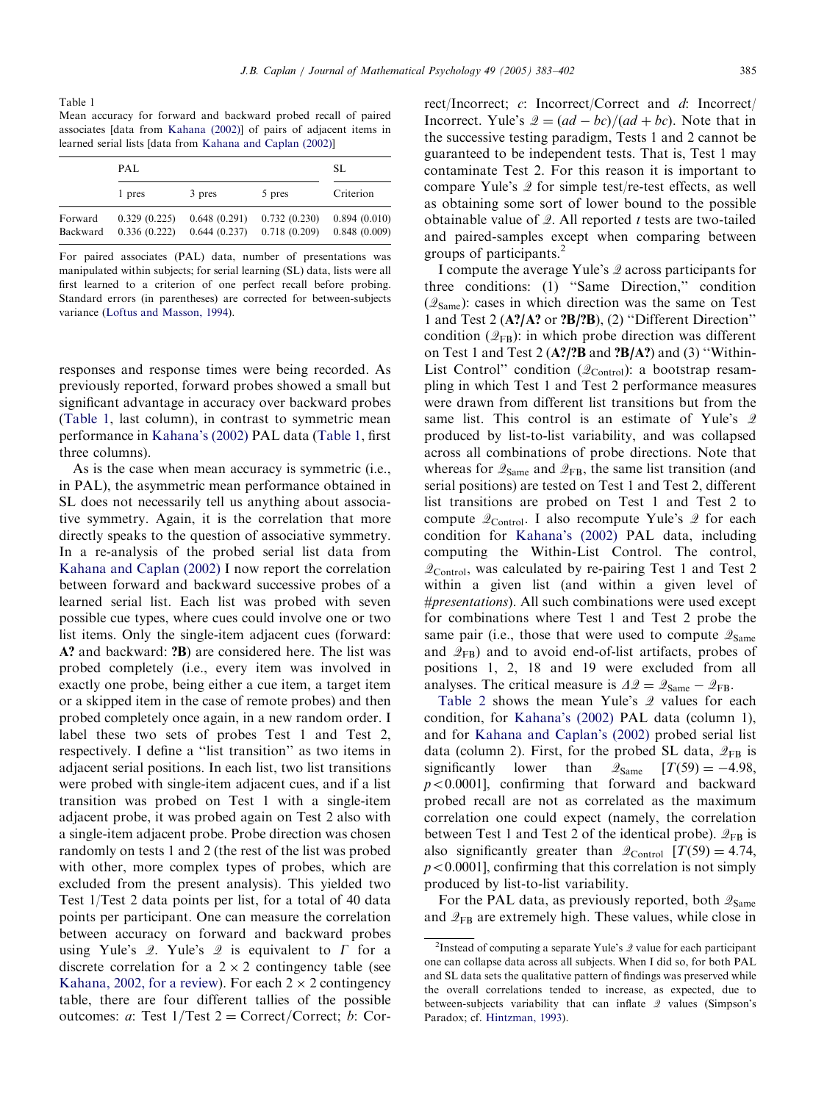Table 1 Mean accuracy for forward and backward probed recall of paired associates [data from [Kahana \(2002\)](#page-19-0)] of pairs of adjacent items in learned serial lists [data from [Kahana and Caplan \(2002\)](#page-19-0)]

|                     | PAL                          |                              |                              | SL.                          |
|---------------------|------------------------------|------------------------------|------------------------------|------------------------------|
|                     | 1 pres                       | 3 pres                       | 5 pres                       | Criterion                    |
| Forward<br>Backward | 0.329(0.225)<br>0.336(0.222) | 0.648(0.291)<br>0.644(0.237) | 0.732(0.230)<br>0.718(0.209) | 0.894(0.010)<br>0.848(0.009) |

For paired associates (PAL) data, number of presentations was manipulated within subjects; for serial learning (SL) data, lists were all first learned to a criterion of one perfect recall before probing. Standard errors (in parentheses) are corrected for between-subjects variance [\(Loftus and Masson, 1994](#page-19-0)).

responses and response times were being recorded. As previously reported, forward probes showed a small but significant advantage in accuracy over backward probes (Table 1, last column), in contrast to symmetric mean performance in [Kahana's \(2002\)](#page-19-0) PAL data (Table 1, first three columns).

As is the case when mean accuracy is symmetric (i.e., in PAL), the asymmetric mean performance obtained in SL does not necessarily tell us anything about associative symmetry. Again, it is the correlation that more directly speaks to the question of associative symmetry. In a re-analysis of the probed serial list data from [Kahana and Caplan \(2002\)](#page-19-0) I now report the correlation between forward and backward successive probes of a learned serial list. Each list was probed with seven possible cue types, where cues could involve one or two list items. Only the single-item adjacent cues (forward: A? and backward: ?B) are considered here. The list was probed completely (i.e., every item was involved in exactly one probe, being either a cue item, a target item or a skipped item in the case of remote probes) and then probed completely once again, in a new random order. I label these two sets of probes Test 1 and Test 2, respectively. I define a ''list transition'' as two items in adjacent serial positions. In each list, two list transitions were probed with single-item adjacent cues, and if a list transition was probed on Test 1 with a single-item adjacent probe, it was probed again on Test 2 also with a single-item adjacent probe. Probe direction was chosen randomly on tests 1 and 2 (the rest of the list was probed with other, more complex types of probes, which are excluded from the present analysis). This yielded two Test 1/Test 2 data points per list, for a total of 40 data points per participant. One can measure the correlation between accuracy on forward and backward probes using Yule's  $\mathcal{Q}$ . Yule's  $\mathcal{Q}$  is equivalent to  $\Gamma$  for a discrete correlation for a  $2 \times 2$  contingency table (see [Kahana, 2002, for a review](#page-19-0)). For each  $2 \times 2$  contingency table, there are four different tallies of the possible outcomes: a: Test  $1/Test 2 = Correct/Correct; b:Cor-$  rect/Incorrect:  $c$ : Incorrect/Correct and  $d$ : Incorrect/ Incorrect. Yule's  $\mathcal{Q} = (ad - bc)/(ad + bc)$ . Note that in the successive testing paradigm, Tests 1 and 2 cannot be guaranteed to be independent tests. That is, Test 1 may contaminate Test 2. For this reason it is important to compare Yule's  $\mathcal{Q}$  for simple test/re-test effects, as well as obtaining some sort of lower bound to the possible obtainable value of  $\mathcal{Q}$ . All reported t tests are two-tailed and paired-samples except when comparing between groups of participants.<sup>2</sup>

I compute the average Yule's 2 across participants for three conditions: (1) "Same Direction," condition  $(2_{\text{Same}})$ : cases in which direction was the same on Test 1 and Test 2 (A?/A? or ?B/?B), (2) ''Different Direction'' condition  $(\mathcal{Q}_{FB})$ : in which probe direction was different on Test 1 and Test 2  $(A?$  /?B and ?B/A?) and (3) "Within-List Control" condition  $(\mathscr{Q}_{\text{Control}})$ : a bootstrap resampling in which Test 1 and Test 2 performance measures were drawn from different list transitions but from the same list. This control is an estimate of Yule's 2 produced by list-to-list variability, and was collapsed across all combinations of probe directions. Note that whereas for  $\mathscr{Q}_{\text{Same}}$  and  $\mathscr{Q}_{\text{FB}}$ , the same list transition (and serial positions) are tested on Test 1 and Test 2, different list transitions are probed on Test 1 and Test 2 to compute  $\mathscr{Q}_{\text{Control}}$ . I also recompute Yule's  $\mathscr Q$  for each condition for [Kahana's \(2002\)](#page-19-0) PAL data, including computing the Within-List Control. The control,  $\mathcal{Q}_{\text{Control}}$ , was calculated by re-pairing Test 1 and Test 2 within a given list (and within a given level of #presentations). All such combinations were used except for combinations where Test 1 and Test 2 probe the same pair (i.e., those that were used to compute  $\mathscr{Q}_{\text{Same}}$ and  $\mathcal{Q}_{FB}$ ) and to avoid end-of-list artifacts, probes of positions 1, 2, 18 and 19 were excluded from all analyses. The critical measure is  $\Delta \mathcal{Q} = \mathcal{Q}_{\text{Same}} - \mathcal{Q}_{\text{FB}}$ .

[Table 2](#page-3-0) shows the mean Yule's  $2$  values for each condition, for [Kahana's \(2002\)](#page-19-0) PAL data (column 1), and for [Kahana and Caplan's \(2002\)](#page-19-0) probed serial list data (column 2). First, for the probed SL data,  $\mathcal{Q}_{FB}$  is significantly lower than  $\mathscr{Q}_{\text{Same}}$  [T(59) = -4.98;  $p < 0.0001$ ], confirming that forward and backward probed recall are not as correlated as the maximum correlation one could expect (namely, the correlation between Test 1 and Test 2 of the identical probe).  $\mathcal{Q}_{FB}$  is also significantly greater than  $\mathcal{Q}_{\text{Control}}$  [T(59) = 4.74,  $p<0.0001$ , confirming that this correlation is not simply produced by list-to-list variability.

For the PAL data, as previously reported, both  $\mathscr{Q}_{\text{Same}}$ and  $\mathcal{Q}_{FB}$  are extremely high. These values, while close in

<sup>&</sup>lt;sup>2</sup>Instead of computing a separate Yule's  $\mathcal Q$  value for each participant one can collapse data across all subjects. When I did so, for both PAL and SL data sets the qualitative pattern of findings was preserved while the overall correlations tended to increase, as expected, due to between-subjects variability that can inflate  $\mathcal Q$  values (Simpson's Paradox; cf. [Hintzman, 1993\)](#page-19-0).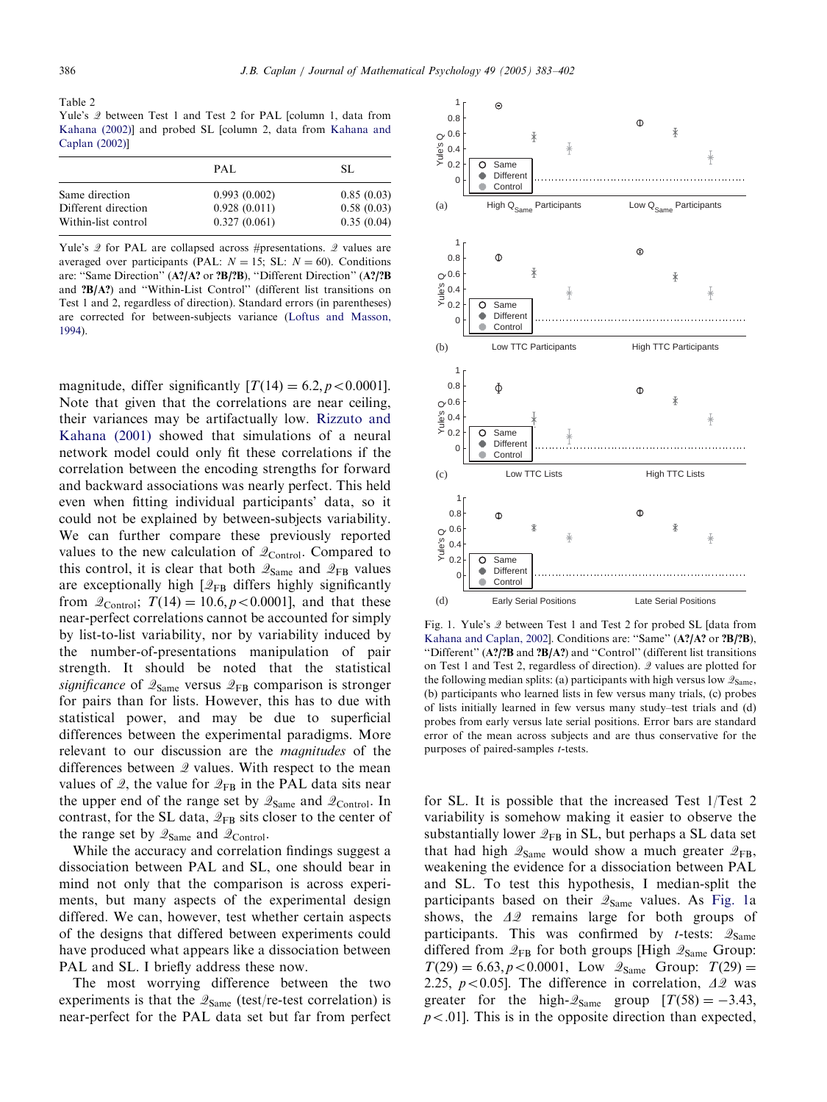<span id="page-3-0"></span>Table 2 Yule's 2 between Test 1 and Test 2 for PAL [column 1, data from [Kahana \(2002\)\]](#page-19-0) and probed SL [column 2, data from [Kahana and](#page-19-0) [Caplan \(2002\)\]](#page-19-0)

|                     | PAL.         | SL.        |
|---------------------|--------------|------------|
| Same direction      | 0.993(0.002) | 0.85(0.03) |
| Different direction | 0.928(0.011) | 0.58(0.03) |
| Within-list control | 0.327(0.061) | 0.35(0.04) |

Yule's 2 for PAL are collapsed across #presentations. 2 values are averaged over participants (PAL:  $N = 15$ ; SL:  $N = 60$ ). Conditions are:''Same Direction'' (A?/A? or ?B/?B), ''Different Direction'' (A?/?B and ?B/A?) and ''Within-List Control'' (different list transitions on Test 1 and 2, regardless of direction). Standard errors (in parentheses) are corrected for between-subjects variance ([Loftus and Masson,](#page-19-0) [1994](#page-19-0)).

magnitude, differ significantly  $[T(14) = 6.2, p < 0.0001]$ . Note that given that the correlations are near ceiling. their variances may be artifactually low. [Rizzuto and](#page-19-0) [Kahana \(2001\)](#page-19-0) showed that simulations of a neural network model could only fit these correlations if the correlation between the encoding strengths for forward and backward associations was nearly perfect. This held even when fitting individual participants' data, so it could not be explained by between-subjects variability. We can further compare these previously reported values to the new calculation of  $\mathcal{Q}_{Control}$ . Compared to this control, it is clear that both  $\mathscr{Q}_{\text{Same}}$  and  $\mathscr{Q}_{\text{FB}}$  values are exceptionally high  $[2_{FB}$  differs highly significantly from  $\mathcal{Q}_{\text{Control}}$ ;  $T(14) = 10.6, p < 0.0001$ , and that these near-perfect correlations cannot be accounted for simply by list-to-list variability, nor by variability induced by the number-of-presentations manipulation of pair strength. It should be noted that the statistical significance of  $\mathscr{Q}_{\text{Same}}$  versus  $\mathscr{Q}_{\text{FB}}$  comparison is stronger for pairs than for lists. However, this has to due with statistical power, and may be due to superficial differences between the experimental paradigms. More relevant to our discussion are the magnitudes of the differences between  $Q$  values. With respect to the mean values of 2, the value for  $2_{FB}$  in the PAL data sits near the upper end of the range set by  $\mathscr{Q}_{\text{Same}}$  and  $\mathscr{Q}_{\text{Control}}$ . In contrast, for the SL data,  $\mathcal{Q}_{FB}$  sits closer to the center of the range set by  $\mathscr{Q}_{\text{Same}}$  and  $\mathscr{Q}_{\text{Control}}$ .

While the accuracy and correlation findings suggest a dissociation between PAL and SL, one should bear in mind not only that the comparison is across experiments, but many aspects of the experimental design differed. We can, however, test whether certain aspects of the designs that differed between experiments could have produced what appears like a dissociation between PAL and SL. I briefly address these now.

The most worrying difference between the two experiments is that the  $\mathscr{Q}_{\text{Same}}$  (test/re-test correlation) is near-perfect for the PAL data set but far from perfect



Fig. 1. Yule's 2 between Test 1 and Test 2 for probed SL [data from [Kahana and Caplan, 2002\]](#page-19-0). Conditions are: "Same" (A?/A? or ?B/?B), ''Different'' (A?/?B and ?B/A?) and ''Control'' (different list transitions on Test 1 and Test 2, regardless of direction). 2 values are plotted for the following median splits: (a) participants with high versus low  $\mathscr{Q}_{Same}$ , (b) participants who learned lists in few versus many trials, (c) probes of lists initially learned in few versus many study–test trials and (d) probes from early versus late serial positions. Error bars are standard error of the mean across subjects and are thus conservative for the purposes of paired-samples t-tests.

for SL. It is possible that the increased Test 1/Test 2 variability is somehow making it easier to observe the substantially lower  $\mathcal{Q}_{FB}$  in SL, but perhaps a SL data set that had high  $\mathcal{Q}_{\text{Same}}$  would show a much greater  $\mathcal{Q}_{\text{FB}}$ , weakening the evidence for a dissociation between PAL and SL. To test this hypothesis, I median-split the participants based on their  $\mathcal{Q}_{\text{Same}}$  values. As Fig. 1a shows, the  $\Delta\ell$  remains large for both groups of participants. This was confirmed by *t*-tests:  $\mathscr{Q}_{\text{Same}}$ differed from  $\mathcal{Q}_{FB}$  for both groups [High  $\mathcal{Q}_{Same}$  Group:  $T(29) = 6.63, p < 0.0001$ , Low  $\mathscr{Q}_{\text{Same}}$  Group:  $T(29) =$ 2.25,  $p < 0.05$ ]. The difference in correlation,  $\Delta \mathcal{Q}$  was greater for the high- $\mathcal{Q}_{\text{Same}}$  group  $[T(58) = -3.43]$ ,  $p < .01$ . This is in the opposite direction than expected,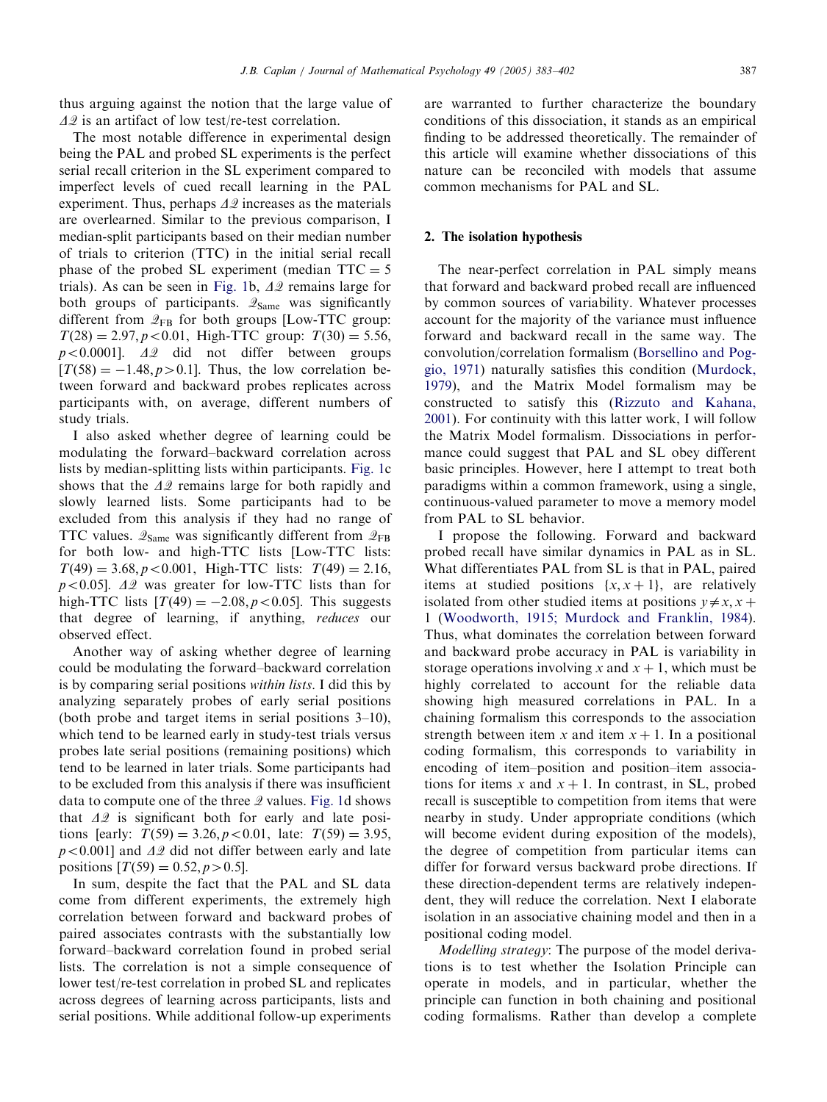thus arguing against the notion that the large value of  $\Delta \mathcal{Q}$  is an artifact of low test/re-test correlation.

The most notable difference in experimental design being the PAL and probed SL experiments is the perfect serial recall criterion in the SL experiment compared to imperfect levels of cued recall learning in the PAL experiment. Thus, perhaps  $\Delta\mathcal{Q}$  increases as the materials are overlearned. Similar to the previous comparison, I median-split participants based on their median number of trials to criterion (TTC) in the initial serial recall phase of the probed SL experiment (median  $TTC = 5$ trials). As can be seen in [Fig. 1](#page-3-0)b,  $\Delta\mathcal{Q}$  remains large for both groups of participants.  $\mathcal{Q}_{\text{Same}}$  was significantly different from  $\mathcal{Q}_{FB}$  for both groups [Low-TTC group:  $T(28) = 2.97, p < 0.01$ , High-TTC group:  $T(30) = 5.56$ ,  $p < 0.0001$ ].  $\Delta \mathcal{Q}$  did not differ between groups  $[T(58) = -1.48, p > 0.1]$ . Thus, the low correlation between forward and backward probes replicates across participants with, on average, different numbers of study trials.

I also asked whether degree of learning could be modulating the forward–backward correlation across lists by median-splitting lists within participants. [Fig. 1](#page-3-0)c shows that the  $\Delta\mathcal{Q}$  remains large for both rapidly and slowly learned lists. Some participants had to be excluded from this analysis if they had no range of TTC values.  $\mathscr{Q}_{\text{Same}}$  was significantly different from  $\mathscr{Q}_{\text{FB}}$ for both low- and high-TTC lists [Low-TTC lists:  $T(49) = 3.68, p < 0.001$ , High-TTC lists:  $T(49) = 2.16$ ,  $p < 0.05$ ].  $\Delta \mathcal{Q}$  was greater for low-TTC lists than for high-TTC lists  $[T(49) = -2.08, p < 0.05]$ . This suggests that degree of learning, if anything, reduces our observed effect.

Another way of asking whether degree of learning could be modulating the forward–backward correlation is by comparing serial positions within lists. I did this by analyzing separately probes of early serial positions (both probe and target items in serial positions 3–10), which tend to be learned early in study-test trials versus probes late serial positions (remaining positions) which tend to be learned in later trials. Some participants had to be excluded from this analysis if there was insufficient data to compute one of the three  $\mathcal{Q}$  values. [Fig. 1d](#page-3-0) shows that  $\Delta\mathcal{Q}$  is significant both for early and late positions [early:  $T(59) = 3.26, p < 0.01$ , late:  $T(59) = 3.95$ ,  $p < 0.001$ ] and  $\Delta \mathcal{Q}$  did not differ between early and late positions  $[T(59) = 0.52, p > 0.5]$ .

In sum, despite the fact that the PAL and SL data come from different experiments, the extremely high correlation between forward and backward probes of paired associates contrasts with the substantially low forward–backward correlation found in probed serial lists. The correlation is not a simple consequence of lower test/re-test correlation in probed SL and replicates across degrees of learning across participants, lists and serial positions. While additional follow-up experiments

are warranted to further characterize the boundary conditions of this dissociation, it stands as an empirical finding to be addressed theoretically. The remainder of this article will examine whether dissociations of this nature can be reconciled with models that assume common mechanisms for PAL and SL.

#### 2. The isolation hypothesis

The near-perfect correlation in PAL simply means that forward and backward probed recall are influenced by common sources of variability. Whatever processes account for the majority of the variance must influence forward and backward recall in the same way. The convolution/correlation formalism [\(Borsellino and Pog](#page-18-0)[gio, 1971\)](#page-18-0) naturally satisfies this condition ([Murdock,](#page-19-0) [1979](#page-19-0)), and the Matrix Model formalism may be constructed to satisfy this [\(Rizzuto and Kahana,](#page-19-0) [2001](#page-19-0)). For continuity with this latter work, I will follow the Matrix Model formalism. Dissociations in performance could suggest that PAL and SL obey different basic principles. However, here I attempt to treat both paradigms within a common framework, using a single, continuous-valued parameter to move a memory model from PAL to SL behavior.

I propose the following. Forward and backward probed recall have similar dynamics in PAL as in SL. What differentiates PAL from SL is that in PAL, paired items at studied positions  $\{x, x + 1\}$ , are relatively isolated from other studied items at positions  $y \neq x, x +$ 1 [\(Woodworth, 1915; Murdock and Franklin, 1984\)](#page-19-0). Thus, what dominates the correlation between forward and backward probe accuracy in PAL is variability in storage operations involving x and  $x + 1$ , which must be highly correlated to account for the reliable data showing high measured correlations in PAL. In a chaining formalism this corresponds to the association strength between item x and item  $x + 1$ . In a positional coding formalism, this corresponds to variability in encoding of item–position and position–item associations for items x and  $x + 1$ . In contrast, in SL, probed recall is susceptible to competition from items that were nearby in study. Under appropriate conditions (which will become evident during exposition of the models), the degree of competition from particular items can differ for forward versus backward probe directions. If these direction-dependent terms are relatively independent, they will reduce the correlation. Next I elaborate isolation in an associative chaining model and then in a positional coding model.

Modelling strategy: The purpose of the model derivations is to test whether the Isolation Principle can operate in models, and in particular, whether the principle can function in both chaining and positional coding formalisms. Rather than develop a complete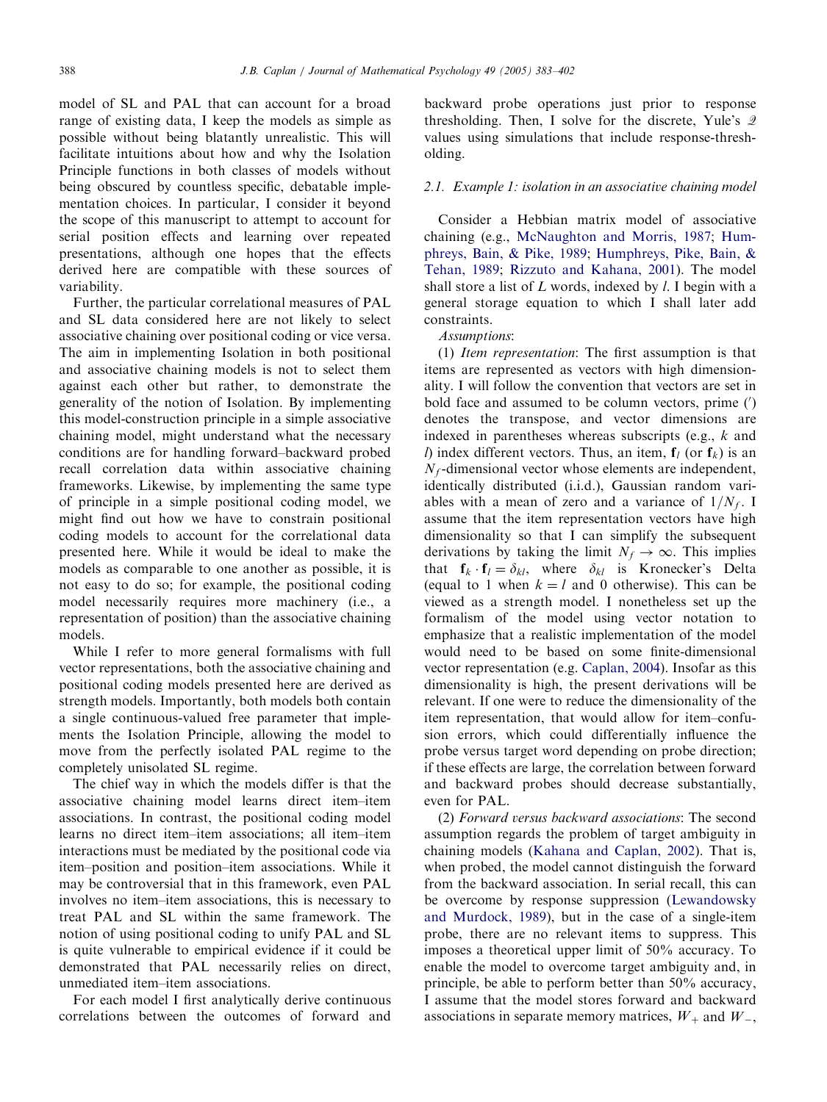model of SL and PAL that can account for a broad range of existing data, I keep the models as simple as possible without being blatantly unrealistic. This will facilitate intuitions about how and why the Isolation Principle functions in both classes of models without being obscured by countless specific, debatable implementation choices. In particular, I consider it beyond the scope of this manuscript to attempt to account for serial position effects and learning over repeated presentations, although one hopes that the effects derived here are compatible with these sources of variability.

Further, the particular correlational measures of PAL and SL data considered here are not likely to select associative chaining over positional coding or vice versa. The aim in implementing Isolation in both positional and associative chaining models is not to select them against each other but rather, to demonstrate the generality of the notion of Isolation. By implementing this model-construction principle in a simple associative chaining model, might understand what the necessary conditions are for handling forward–backward probed recall correlation data within associative chaining frameworks. Likewise, by implementing the same type of principle in a simple positional coding model, we might find out how we have to constrain positional coding models to account for the correlational data presented here. While it would be ideal to make the models as comparable to one another as possible, it is not easy to do so; for example, the positional coding model necessarily requires more machinery (i.e., a representation of position) than the associative chaining models.

While I refer to more general formalisms with full vector representations, both the associative chaining and positional coding models presented here are derived as strength models. Importantly, both models both contain a single continuous-valued free parameter that implements the Isolation Principle, allowing the model to move from the perfectly isolated PAL regime to the completely unisolated SL regime.

The chief way in which the models differ is that the associative chaining model learns direct item–item associations. In contrast, the positional coding model learns no direct item–item associations; all item–item interactions must be mediated by the positional code via item–position and position–item associations. While it may be controversial that in this framework, even PAL involves no item–item associations, this is necessary to treat PAL and SL within the same framework. The notion of using positional coding to unify PAL and SL is quite vulnerable to empirical evidence if it could be demonstrated that PAL necessarily relies on direct, unmediated item–item associations.

For each model I first analytically derive continuous correlations between the outcomes of forward and

backward probe operations just prior to response thresholding. Then, I solve for the discrete, Yule's Q values using simulations that include response-thresholding.

#### 2.1. Example 1: isolation in an associative chaining model

Consider a Hebbian matrix model of associative chaining (e.g., [McNaughton and Morris, 1987;](#page-19-0) [Hum](#page-19-0)[phreys, Bain,](#page-19-0) [& Pike, 1989;](#page-19-0) [Humphreys, Pike, Bain, &](#page-19-0) [Tehan, 1989;](#page-19-0) [Rizzuto and Kahana, 2001\)](#page-19-0). The model shall store a list of  $L$  words, indexed by  $l$ . I begin with a general storage equation to which I shall later add constraints.

Assumptions:

 $(1)$  *Item representation*: The first assumption is that items are represented as vectors with high dimensionality. I will follow the convention that vectors are set in bold face and assumed to be column vectors, prime (') denotes the transpose, and vector dimensions are indexed in parentheses whereas subscripts (e.g., k and l) index different vectors. Thus, an item,  $f_l$  (or  $f_k$ ) is an  $N_f$ -dimensional vector whose elements are independent, identically distributed (i.i.d.), Gaussian random variables with a mean of zero and a variance of  $1/N_f$ . I assume that the item representation vectors have high dimensionality so that I can simplify the subsequent derivations by taking the limit  $N_f \to \infty$ . This implies that  $f_k \cdot f_l = \delta_{kl}$ , where  $\delta_{kl}$  is Kronecker's Delta (equal to 1 when  $k = l$  and 0 otherwise). This can be viewed as a strength model. I nonetheless set up the formalism of the model using vector notation to emphasize that a realistic implementation of the model would need to be based on some finite-dimensional vector representation (e.g. [Caplan, 2004](#page-18-0)). Insofar as this dimensionality is high, the present derivations will be relevant. If one were to reduce the dimensionality of the item representation, that would allow for item–confusion errors, which could differentially influence the probe versus target word depending on probe direction; if these effects are large, the correlation between forward and backward probes should decrease substantially, even for PAL.

(2) Forward versus backward associations: The second assumption regards the problem of target ambiguity in chaining models ([Kahana and Caplan, 2002](#page-19-0)). That is, when probed, the model cannot distinguish the forward from the backward association. In serial recall, this can be overcome by response suppression [\(Lewandowsky](#page-19-0) [and Murdock, 1989](#page-19-0)), but in the case of a single-item probe, there are no relevant items to suppress. This imposes a theoretical upper limit of 50% accuracy. To enable the model to overcome target ambiguity and, in principle, be able to perform better than 50% accuracy, I assume that the model stores forward and backward associations in separate memory matrices,  $W_+$  and  $W_-$ ,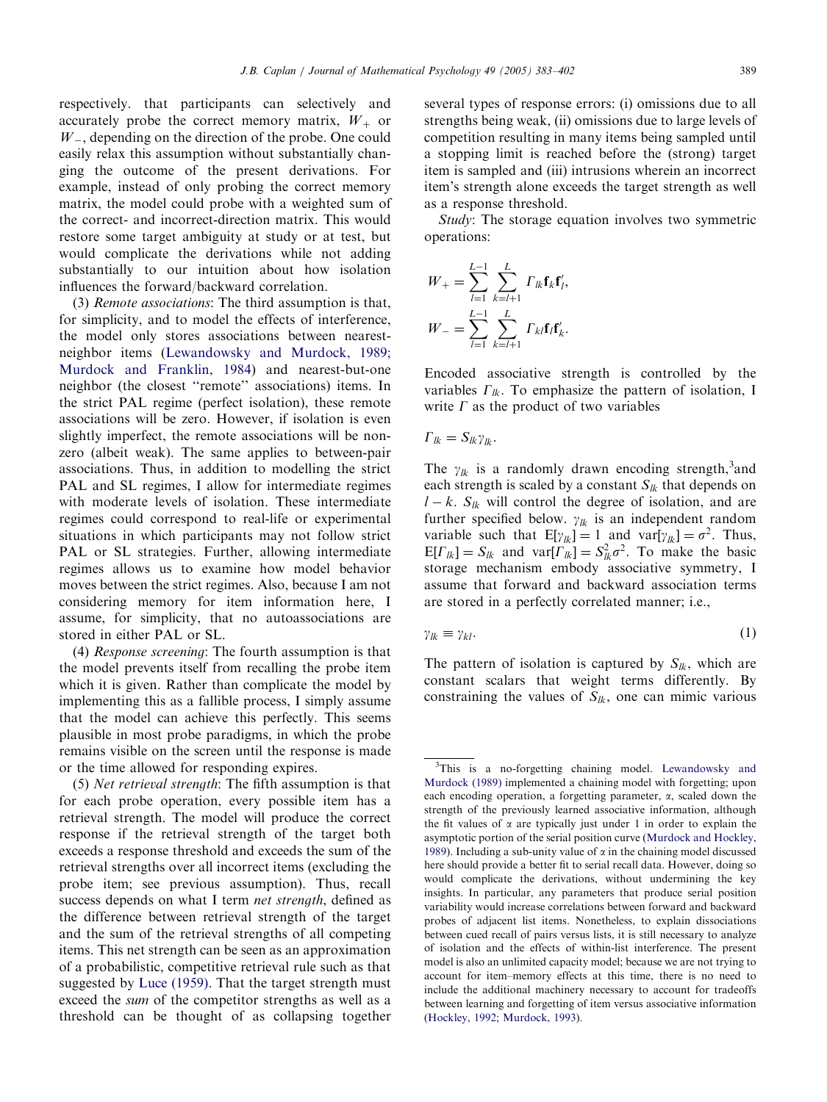respectively. that participants can selectively and accurately probe the correct memory matrix,  $W_{\perp}$  or  $W_$ , depending on the direction of the probe. One could easily relax this assumption without substantially changing the outcome of the present derivations. For example, instead of only probing the correct memory matrix, the model could probe with a weighted sum of the correct- and incorrect-direction matrix. This would restore some target ambiguity at study or at test, but would complicate the derivations while not adding substantially to our intuition about how isolation influences the forward/backward correlation.

(3) *Remote associations*: The third assumption is that, for simplicity, and to model the effects of interference, the model only stores associations between nearestneighbor items [\(Lewandowsky and Murdock, 1989;](#page-19-0) [Murdock and Franklin, 1984\)](#page-19-0) and nearest-but-one neighbor (the closest ''remote'' associations) items. In the strict PAL regime (perfect isolation), these remote associations will be zero. However, if isolation is even slightly imperfect, the remote associations will be nonzero (albeit weak). The same applies to between-pair associations. Thus, in addition to modelling the strict PAL and SL regimes, I allow for intermediate regimes with moderate levels of isolation. These intermediate regimes could correspond to real-life or experimental situations in which participants may not follow strict PAL or SL strategies. Further, allowing intermediate regimes allows us to examine how model behavior moves between the strict regimes. Also, because I am not considering memory for item information here, I assume, for simplicity, that no autoassociations are stored in either PAL or SL.

(4) *Response screening*: The fourth assumption is that the model prevents itself from recalling the probe item which it is given. Rather than complicate the model by implementing this as a fallible process, I simply assume that the model can achieve this perfectly. This seems plausible in most probe paradigms, in which the probe remains visible on the screen until the response is made or the time allowed for responding expires.

(5) *Net retrieval strength*: The fifth assumption is that for each probe operation, every possible item has a retrieval strength. The model will produce the correct response if the retrieval strength of the target both exceeds a response threshold and exceeds the sum of the retrieval strengths over all incorrect items (excluding the probe item; see previous assumption). Thus, recall success depends on what I term *net strength*, defined as the difference between retrieval strength of the target and the sum of the retrieval strengths of all competing items. This net strength can be seen as an approximation of a probabilistic, competitive retrieval rule such as that suggested by [Luce \(1959\)](#page-19-0). That the target strength must exceed the sum of the competitor strengths as well as a threshold can be thought of as collapsing together several types of response errors: (i) omissions due to all strengths being weak, (ii) omissions due to large levels of competition resulting in many items being sampled until a stopping limit is reached before the (strong) target item is sampled and (iii) intrusions wherein an incorrect item's strength alone exceeds the target strength as well as a response threshold.

Study: The storage equation involves two symmetric operations:

$$
W_{+} = \sum_{l=1}^{L-1} \sum_{k=l+1}^{L} \Gamma_{lk} \mathbf{f}_{k} \mathbf{f}'_{l},
$$
  

$$
W_{-} = \sum_{l=1}^{L-1} \sum_{k=l+1}^{L} \Gamma_{kl} \mathbf{f}_{l} \mathbf{f}'_{k}.
$$

Encoded associative strength is controlled by the variables  $\Gamma_{lk}$ . To emphasize the pattern of isolation, I write  $\Gamma$  as the product of two variables

$$
\Gamma_{lk}=S_{lk}\gamma_{lk}.
$$

The  $\gamma_{lk}$  is a randomly drawn encoding strength,<sup>3</sup> and each strength is scaled by a constant  $S_{lk}$  that depends on  $l - k$ .  $S_{lk}$  will control the degree of isolation, and are further specified below.  $\gamma_{lk}$  is an independent random variable such that  $E[\gamma_{lk}] = 1$  and  $var[\gamma_{lk}] = \sigma^2$ . Thus,  $E[r_{lk}] = S_{lk}$  and var $[\overline{F_{lk}}] = S_{lk}^2 \sigma^2$ . To make the basic storage mechanism embody associative symmetry, I assume that forward and backward association terms are stored in a perfectly correlated manner; i.e.,

$$
\gamma_{lk} \equiv \gamma_{kl}.\tag{1}
$$

The pattern of isolation is captured by  $S_{lk}$ , which are constant scalars that weight terms differently. By constraining the values of  $S_{ik}$ , one can mimic various

<sup>&</sup>lt;sup>3</sup>This is a no-forgetting chaining model. [Lewandowsky and](#page-19-0) [Murdock \(1989\)](#page-19-0) implemented a chaining model with forgetting; upon each encoding operation, a forgetting parameter, a, scaled down the strength of the previously learned associative information, although the fit values of  $\alpha$  are typically just under 1 in order to explain the asymptotic portion of the serial position curve ([Murdock and Hockley,](#page-19-0) [1989](#page-19-0)). Including a sub-unity value of  $\alpha$  in the chaining model discussed here should provide a better fit to serial recall data. However, doing so would complicate the derivations, without undermining the key insights. In particular, any parameters that produce serial position variability would increase correlations between forward and backward probes of adjacent list items. Nonetheless, to explain dissociations between cued recall of pairs versus lists, it is still necessary to analyze of isolation and the effects of within-list interference. The present model is also an unlimited capacity model; because we are not trying to account for item–memory effects at this time, there is no need to include the additional machinery necessary to account for tradeoffs between learning and forgetting of item versus associative information [\(Hockley, 1992; Murdock, 1993\)](#page-19-0).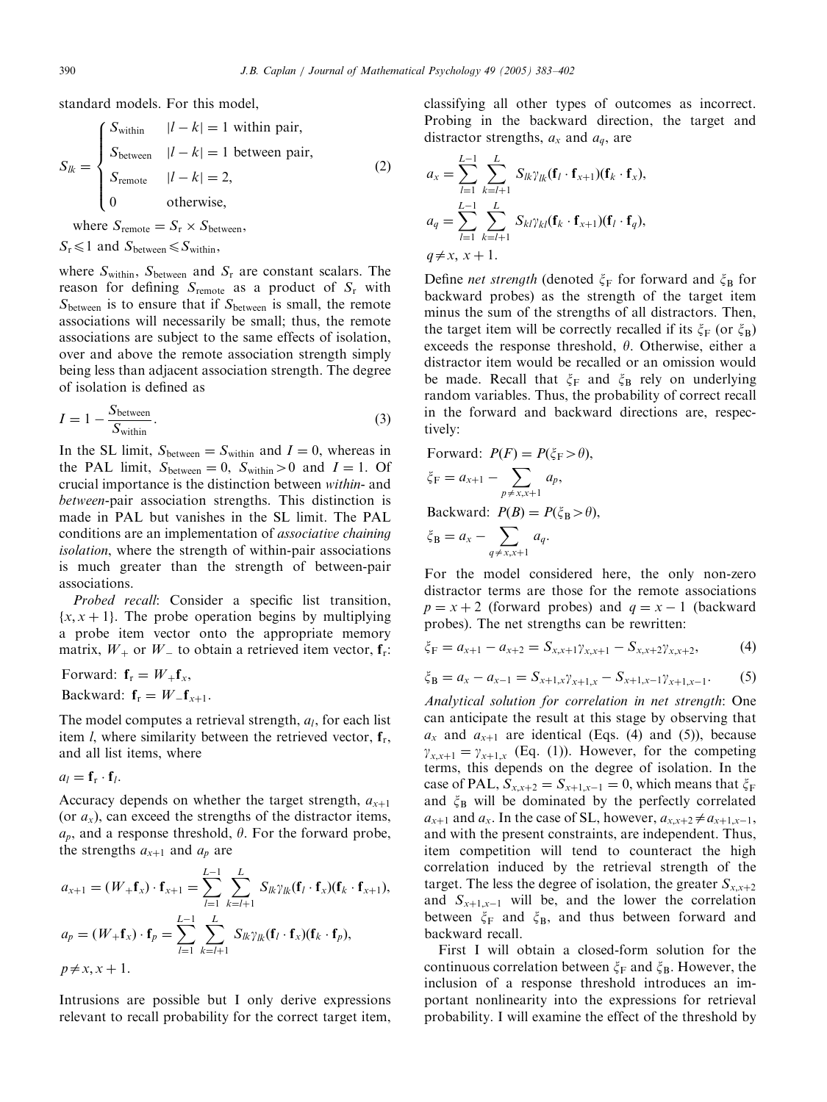standard models. For this model,

$$
S_{lk} = \begin{cases} S_{\text{within}} & |l - k| = 1 \text{ within pair,} \\ S_{\text{between}} & |l - k| = 1 \text{ between pair,} \\ S_{\text{remote}} & |l - k| = 2, \\ 0 & \text{otherwise,} \end{cases} \tag{2}
$$
\n
$$
\text{where } S_{\text{remote}} = S_{\text{r}} \times S_{\text{between}},
$$

 $S_r \leq 1$  and  $S_{\text{between}} \leq S_{\text{within}}$ ,

where  $S_{\text{within}}$ ,  $S_{\text{between}}$  and  $S_{\text{r}}$  are constant scalars. The reason for defining  $S_{\text{remote}}$  as a product of  $S_{\text{r}}$  with  $S_{between}$  is to ensure that if  $S_{between}$  is small, the remote associations will necessarily be small; thus, the remote associations are subject to the same effects of isolation, over and above the remote association strength simply being less than adjacent association strength. The degree of isolation is defined as

$$
I = 1 - \frac{S_{\text{between}}}{S_{\text{within}}}.
$$
\n(3)

In the SL limit,  $S_{between} = S_{within}$  and  $I = 0$ , whereas in the PAL limit,  $S_{between} = 0$ ,  $S_{within} > 0$  and  $I = 1$ . Of crucial importance is the distinction between within- and between-pair association strengths. This distinction is made in PAL but vanishes in the SL limit. The PAL conditions are an implementation of associative chaining isolation, where the strength of within-pair associations is much greater than the strength of between-pair associations.

Probed recall: Consider a specific list transition,  $\{x, x + 1\}$ . The probe operation begins by multiplying a probe item vector onto the appropriate memory matrix,  $W_+$  or  $W_-$  to obtain a retrieved item vector,  $f_r$ :

Forward:  $f_r = W_+ f_x$ , Backward:  $f_r = W_f f_{x+1}$ .

The model computes a retrieval strength,  $a_l$ , for each list item *l*, where similarity between the retrieved vector,  $f_r$ , and all list items, where

 $a_l = \mathbf{f}_r \cdot \mathbf{f}_l$ .

Accuracy depends on whether the target strength,  $a_{x+1}$ (or  $a_x$ ), can exceed the strengths of the distractor items,  $a_p$ , and a response threshold,  $\theta$ . For the forward probe, the strengths  $a_{x+1}$  and  $a_p$  are

$$
a_{x+1} = (W_+ \mathbf{f}_x) \cdot \mathbf{f}_{x+1} = \sum_{l=1}^{L-1} \sum_{k=l+1}^{L} S_{lk} \gamma_{lk} (\mathbf{f}_l \cdot \mathbf{f}_x) (\mathbf{f}_k \cdot \mathbf{f}_{x+1}),
$$
  
\n
$$
a_p = (W_+ \mathbf{f}_x) \cdot \mathbf{f}_p = \sum_{l=1}^{L-1} \sum_{k=l+1}^{L} S_{lk} \gamma_{lk} (\mathbf{f}_l \cdot \mathbf{f}_x) (\mathbf{f}_k \cdot \mathbf{f}_p),
$$
  
\n
$$
p \neq x, x+1.
$$

Intrusions are possible but I only derive expressions relevant to recall probability for the correct target item, classifying all other types of outcomes as incorrect. Probing in the backward direction, the target and distractor strengths,  $a_x$  and  $a_g$ , are

$$
a_x = \sum_{l=1}^{L-1} \sum_{k=l+1}^{L} S_{lk} \gamma_{lk} (\mathbf{f}_l \cdot \mathbf{f}_{x+1}) (\mathbf{f}_k \cdot \mathbf{f}_x),
$$
  
\n
$$
a_q = \sum_{l=1}^{L-1} \sum_{k=l+1}^{L} S_{kl} \gamma_{kl} (\mathbf{f}_k \cdot \mathbf{f}_{x+1}) (\mathbf{f}_l \cdot \mathbf{f}_q),
$$
  
\n
$$
q \neq x, x+1.
$$

Define net strength (denoted  $\zeta_F$  for forward and  $\zeta_B$  for backward probes) as the strength of the target item minus the sum of the strengths of all distractors. Then, the target item will be correctly recalled if its  $\zeta_F$  (or  $\zeta_B$ ) exceeds the response threshold,  $\theta$ . Otherwise, either a distractor item would be recalled or an omission would be made. Recall that  $\zeta_F$  and  $\zeta_B$  rely on underlying random variables. Thus, the probability of correct recall in the forward and backward directions are, respectively:

Forward: 
$$
P(F) = P(\xi_F > \theta)
$$
,

\n $\xi_F = a_{x+1} - \sum_{p \neq x, x+1} a_p$ ,

\nBackward:  $P(B) = P(\xi_B > \theta)$ ,

\n $\xi_B = a_x - \sum a_q$ .

 $q \neq x, x+1$  $a_q$ .

For the model considered here, the only non-zero distractor terms are those for the remote associations  $p = x + 2$  (forward probes) and  $q = x - 1$  (backward probes). The net strengths can be rewritten:

$$
\xi_{\rm F} = a_{x+1} - a_{x+2} = S_{x,x+1} \gamma_{x,x+1} - S_{x,x+2} \gamma_{x,x+2},\tag{4}
$$

$$
\zeta_{\mathbf{B}} = a_{x} - a_{x-1} = S_{x+1,x} \gamma_{x+1,x} - S_{x+1,x-1} \gamma_{x+1,x-1}.
$$
 (5)

Analytical solution for correlation in net strength: One can anticipate the result at this stage by observing that  $a_x$  and  $a_{x+1}$  are identical (Eqs. (4) and (5)), because  $\gamma_{x,x+1} = \gamma_{x+1,x}$  (Eq. (1)). However, for the competing terms, this depends on the degree of isolation. In the case of PAL,  $S_{x,x+2} = S_{x+1,x-1} = 0$ , which means that  $\xi_F$ and  $\zeta_B$  will be dominated by the perfectly correlated  $a_{x+1}$  and  $a_x$ . In the case of SL, however,  $a_{x,x+2} \neq a_{x+1,x-1}$ , and with the present constraints, are independent. Thus, item competition will tend to counteract the high correlation induced by the retrieval strength of the target. The less the degree of isolation, the greater  $S_{x,x+2}$ and  $S_{x+1,x-1}$  will be, and the lower the correlation between  $\xi_F$  and  $\xi_B$ , and thus between forward and backward recall.

First I will obtain a closed-form solution for the continuous correlation between  $\zeta_F$  and  $\zeta_B$ . However, the inclusion of a response threshold introduces an important nonlinearity into the expressions for retrieval probability. I will examine the effect of the threshold by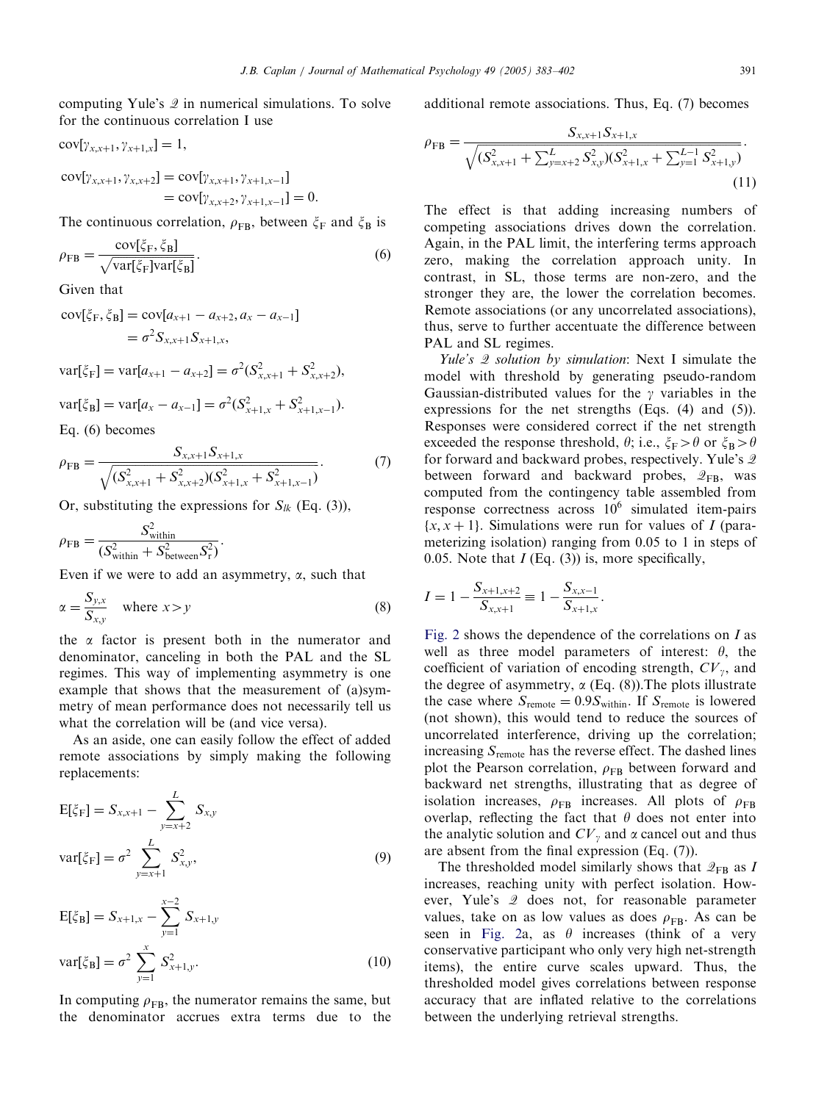computing Yule's  $\mathcal{Q}$  in numerical simulations. To solve for the continuous correlation I use

$$
cov[\gamma_{x,x+1}, \gamma_{x+1,x}] = 1,
$$
  
\n
$$
cov[\gamma_{x,x+1}, \gamma_{x,x+2}] = cov[\gamma_{x,x+1}, \gamma_{x+1,x-1}]
$$
  
\n
$$
= cov[\gamma_{x,x+2}, \gamma_{x+1,x-1}] = 0.
$$

The continuous correlation,  $\rho_{FR}$ , between  $\zeta_F$  and  $\zeta_B$  is

$$
\rho_{\rm FB} = \frac{\text{cov}[\xi_{\rm F}, \xi_{\rm B}]}{\sqrt{\text{var}[\xi_{\rm F}]\text{var}[\xi_{\rm B}]}}.\tag{6}
$$

Given that

$$
cov[\xi_F, \xi_B] = cov[a_{x+1} - a_{x+2}, a_x - a_{x-1}]
$$
  
=  $\sigma^2 S_{x,x+1} S_{x+1,x}$ ,

 $\text{var}[\xi_F] = \text{var}[a_{x+1} - a_{x+2}] = \sigma^2(S_{x,x+1}^2 + S_{x,x+2}^2),$ 

$$
\text{var}[\xi_{\text{B}}] = \text{var}[a_x - a_{x-1}] = \sigma^2 (S_{x+1,x}^2 + S_{x+1,x-1}^2).
$$

Eq. (6) becomes

$$
\rho_{FB} = \frac{S_{x,x+1}S_{x+1,x}}{\sqrt{(S_{x,x+1}^2 + S_{x,x+2}^2)(S_{x+1,x}^2 + S_{x+1,x-1}^2)}}.
$$
(7)

Or, substituting the expressions for  $S_{lk}$  (Eq. (3)),

$$
\rho_{\rm FB} = \frac{S_{\rm within}^2}{(S_{\rm within}^2 + S_{\rm between}^2 S_{\rm r}^2)}.
$$

Even if we were to add an asymmetry,  $\alpha$ , such that

$$
\alpha = \frac{S_{y,x}}{S_{x,y}} \quad \text{where } x > y \tag{8}
$$

the  $\alpha$  factor is present both in the numerator and denominator, canceling in both the PAL and the SL regimes. This way of implementing asymmetry is one example that shows that the measurement of (a)symmetry of mean performance does not necessarily tell us what the correlation will be (and vice versa).

As an aside, one can easily follow the effect of added remote associations by simply making the following replacements:

$$
E[\xi_F] = S_{x,x+1} - \sum_{y=x+2}^{L} S_{x,y}
$$
  
var[ $\xi_F$ ] =  $\sigma^2 \sum_{y=x+1}^{L} S_{x,y}^2$ , (9)

$$
E[\xi_B] = S_{x+1,x} - \sum_{y=1}^{x-2} S_{x+1,y}
$$
  
var $[\xi_B] = \sigma^2 \sum_{y=1}^{x} S_{x+1,y}^2.$  (10)

In computing  $\rho_{FR}$ , the numerator remains the same, but the denominator accrues extra terms due to the

additional remote associations. Thus, Eq. (7) becomes

$$
\rho_{\rm FB} = \frac{S_{x,x+1}S_{x+1,x}}{\sqrt{(S_{x,x+1}^2 + \sum_{y=x+2}^L S_{x,y}^2)(S_{x+1,x}^2 + \sum_{y=1}^{L-1} S_{x+1,y}^2)}}.
$$
\n(11)

The effect is that adding increasing numbers of competing associations drives down the correlation. Again, in the PAL limit, the interfering terms approach zero, making the correlation approach unity. In contrast, in SL, those terms are non-zero, and the stronger they are, the lower the correlation becomes. Remote associations (or any uncorrelated associations), thus, serve to further accentuate the difference between PAL and SL regimes.

Yule's  $Q$  solution by simulation: Next I simulate the model with threshold by generating pseudo-random Gaussian-distributed values for the  $\gamma$  variables in the expressions for the net strengths (Eqs. (4) and (5)). Responses were considered correct if the net strength exceeded the response threshold,  $\theta$ ; i.e.,  $\zeta_F > \theta$  or  $\zeta_B > \theta$ for forward and backward probes, respectively. Yule's 2 between forward and backward probes,  $\mathcal{Q}_{FB}$ , was computed from the contingency table assembled from response correctness across  $10^6$  simulated item-pairs  $\{x, x + 1\}$ . Simulations were run for values of I (parameterizing isolation) ranging from 0.05 to 1 in steps of 0.05. Note that  $I$  (Eq. (3)) is, more specifically,

$$
I = 1 - \frac{S_{x+1,x+2}}{S_{x,x+1}} \equiv 1 - \frac{S_{x,x-1}}{S_{x+1,x}}.
$$

[Fig. 2](#page-9-0) shows the dependence of the correlations on  $I$  as well as three model parameters of interest:  $\theta$ , the coefficient of variation of encoding strength,  $CV_{\gamma}$ , and the degree of asymmetry,  $\alpha$  (Eq. (8)). The plots illustrate the case where  $S_{\text{remote}} = 0.9 S_{\text{within}}$ . If  $S_{\text{remote}}$  is lowered (not shown), this would tend to reduce the sources of uncorrelated interference, driving up the correlation; increasing  $S_{\text{remote}}$  has the reverse effect. The dashed lines plot the Pearson correlation,  $\rho_{FB}$  between forward and backward net strengths, illustrating that as degree of isolation increases,  $\rho_{FB}$  increases. All plots of  $\rho_{FB}$ overlap, reflecting the fact that  $\theta$  does not enter into the analytic solution and  $CV_\gamma$  and  $\alpha$  cancel out and thus are absent from the final expression (Eq. (7)).

The thresholded model similarly shows that  $\mathcal{Q}_{FB}$  as I increases, reaching unity with perfect isolation. However, Yule's 2 does not, for reasonable parameter values, take on as low values as does  $\rho_{FB}$ . As can be seen in [Fig. 2a](#page-9-0), as  $\theta$  increases (think of a very conservative participant who only very high net-strength items), the entire curve scales upward. Thus, the thresholded model gives correlations between response accuracy that are inflated relative to the correlations between the underlying retrieval strengths.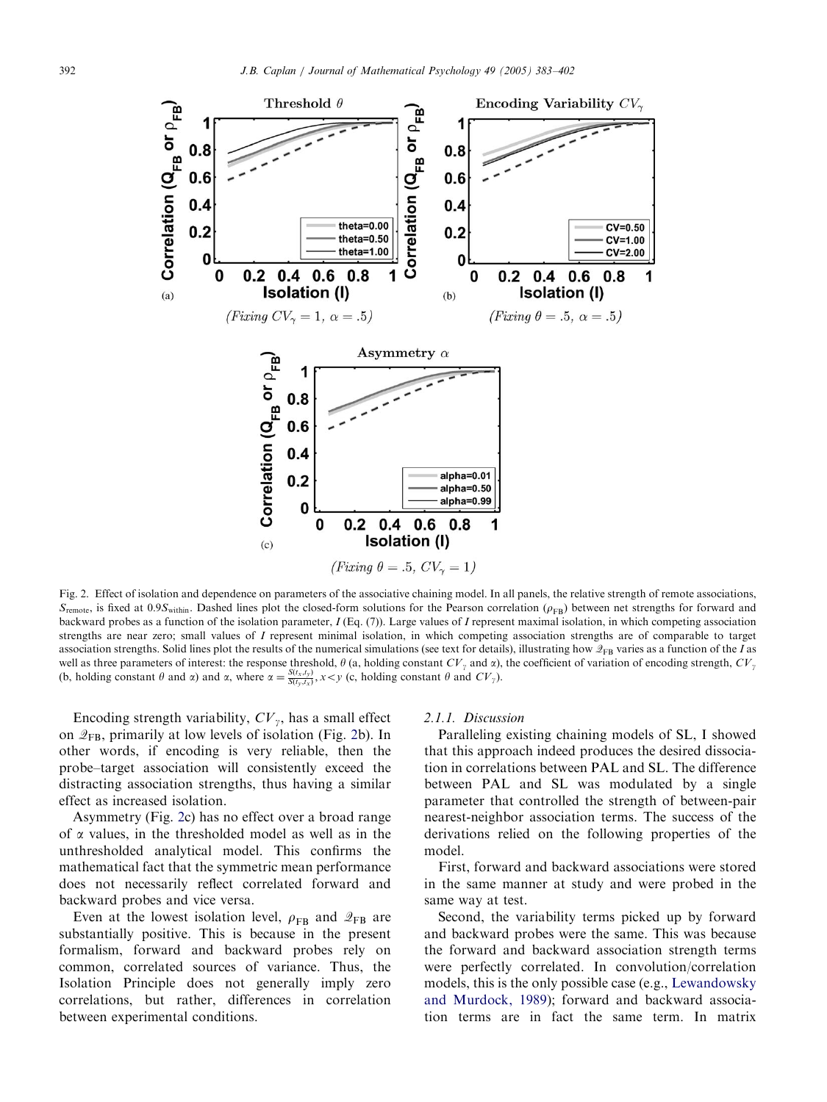<span id="page-9-0"></span>

Fig. 2. Effect of isolation and dependence on parameters of the associative chaining model. In all panels, the relative strength of remote associations,  $S_{\text{remote}}$ , is fixed at 0.9S<sub>within</sub>. Dashed lines plot the closed-form solutions for the Pearson correlation ( $\rho_{FR}$ ) between net strengths for forward and backward probes as a function of the isolation parameter, I (Eq. (7)). Large values of I represent maximal isolation, in which competing association strengths are near zero; small values of I represent minimal isolation, in which competing association strengths are of comparable to target association strengths. Solid lines plot the results of the numerical simulations (see text for details), illustrating how  $\mathcal{Q}_{FB}$  varies as a function of the I as well as three parameters of interest: the response threshold,  $\theta$  (a, holding constant  $CV_{\gamma}$  and  $\alpha$ ), the coefficient of variation of encoding strength,  $CV_{\gamma}$ <br>(b, holding constant  $\theta$  and  $\alpha$ ) and  $\alpha$ , where  $\alpha$ 

Encoding strength variability,  $CV<sub>y</sub>$ , has a small effect on  $\mathcal{Q}_{FB}$ , primarily at low levels of isolation (Fig. 2b). In other words, if encoding is very reliable, then the probe–target association will consistently exceed the distracting association strengths, thus having a similar effect as increased isolation.

Asymmetry (Fig. 2c) has no effect over a broad range of  $\alpha$  values, in the thresholded model as well as in the unthresholded analytical model. This confirms the mathematical fact that the symmetric mean performance does not necessarily reflect correlated forward and backward probes and vice versa.

Even at the lowest isolation level,  $\rho_{FB}$  and  $\mathcal{Q}_{FB}$  are substantially positive. This is because in the present formalism, forward and backward probes rely on common, correlated sources of variance. Thus, the Isolation Principle does not generally imply zero correlations, but rather, differences in correlation between experimental conditions.

#### 2.1.1. Discussion

Paralleling existing chaining models of SL, I showed that this approach indeed produces the desired dissociation in correlations between PAL and SL. The difference between PAL and SL was modulated by a single parameter that controlled the strength of between-pair nearest-neighbor association terms. The success of the derivations relied on the following properties of the model.

First, forward and backward associations were stored in the same manner at study and were probed in the same way at test.

Second, the variability terms picked up by forward and backward probes were the same. This was because the forward and backward association strength terms were perfectly correlated. In convolution/correlation models, this is the only possible case (e.g., [Lewandowsky](#page-19-0) [and Murdock, 1989\)](#page-19-0); forward and backward association terms are in fact the same term. In matrix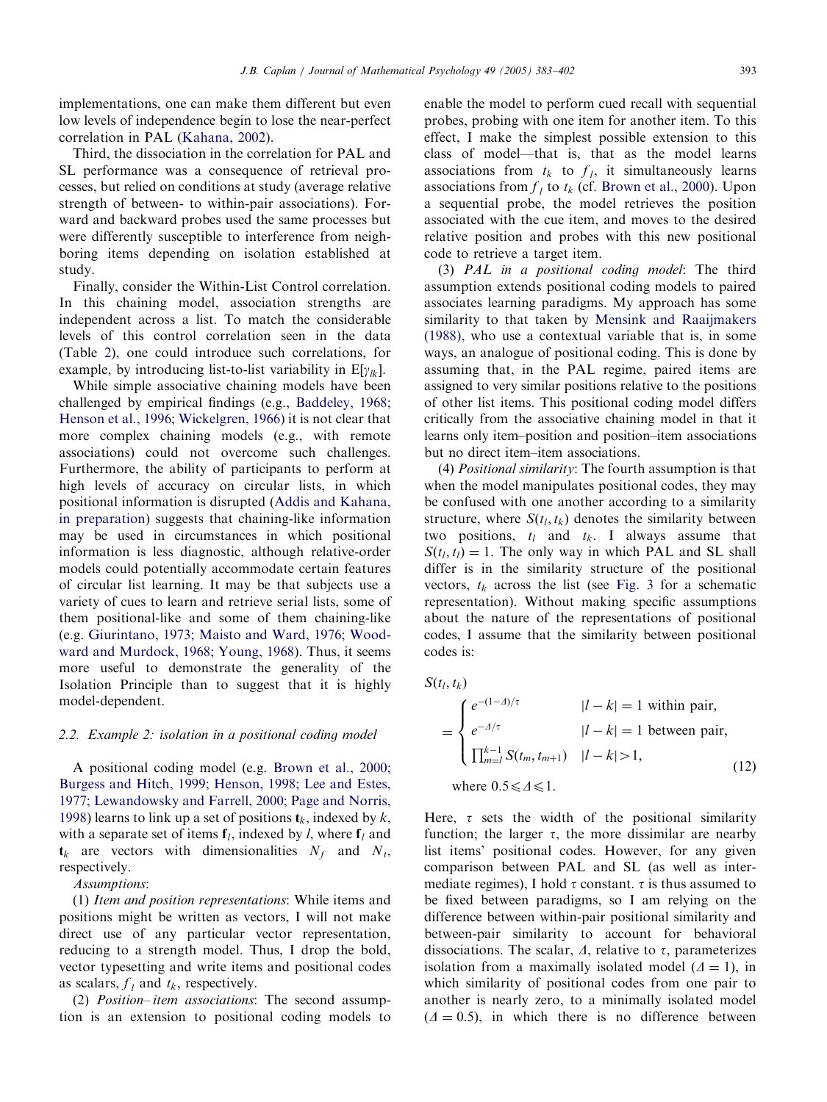implementations, one can make them different but even low levels of independence begin to lose the near-perfect correlation in PAL [\(Kahana, 2002](#page-19-0)).

Third, the dissociation in the correlation for PAL and SL performance was a consequence of retrieval processes, but relied on conditions at study (average relative strength of between- to within-pair associations). Forward and backward probes used the same processes but were differently susceptible to interference from neighboring items depending on isolation established at study.

Finally, consider the Within-List Control correlation. In this chaining model, association strengths are independent across a list. To match the considerable levels of this control correlation seen in the data (Table [2](#page-3-0)), one could introduce such correlations, for example, by introducing list-to-list variability in  $E[\gamma_{lk}]$ .

While simple associative chaining models have been challenged by empirical findings (e.g., [Baddeley, 1968;](#page-18-0) [Henson et al., 1996; Wickelgren, 1966\)](#page-18-0) it is not clear that more complex chaining models (e.g., with remote associations) could not overcome such challenges. Furthermore, the ability of participants to perform at high levels of accuracy on circular lists, in which positional information is disrupted ([Addis and Kahana,](#page-18-0) [in preparation\)](#page-18-0) suggests that chaining-like information may be used in circumstances in which positional information is less diagnostic, although relative-order models could potentially accommodate certain features of circular list learning. It may be that subjects use a variety of cues to learn and retrieve serial lists, some of them positional-like and some of them chaining-like (e.g. [Giurintano, 1973; Maisto and Ward, 1976; Wood](#page-18-0)[ward and Murdock, 1968; Young, 1968\)](#page-18-0). Thus, it seems more useful to demonstrate the generality of the Isolation Principle than to suggest that it is highly model-dependent.

#### 2.2. Example 2: isolation in a positional coding model

A positional coding model (e.g. [Brown et al., 2000;](#page-18-0) [Burgess and Hitch, 1999; Henson, 1998; Lee and Estes,](#page-18-0) [1977; Lewandowsky and Farrell, 2000; Page and Norris,](#page-18-0) [1998](#page-18-0)) learns to link up a set of positions  $t_k$ , indexed by k, with a separate set of items  $f_l$ , indexed by l, where  $f_l$  and  $t_k$  are vectors with dimensionalities  $N_f$  and  $N_t$ , respectively.

Assumptions:

(1) Item and position representations: While items and positions might be written as vectors, I will not make direct use of any particular vector representation, reducing to a strength model. Thus, I drop the bold, vector typesetting and write items and positional codes as scalars,  $f_l$  and  $t_k$ , respectively.

(2)  $Position - item$  associations: The second assumption is an extension to positional coding models to enable the model to perform cued recall with sequential probes, probing with one item for another item. To this effect, I make the simplest possible extension to this class of model—that is, that as the model learns associations from  $t_k$  to  $f_l$ , it simultaneously learns associations from  $f_l$  to  $t_k$  (cf. [Brown et al., 2000\)](#page-18-0). Upon a sequential probe, the model retrieves the position associated with the cue item, and moves to the desired relative position and probes with this new positional code to retrieve a target item.

(3) PAL in a positional coding model: The third assumption extends positional coding models to paired associates learning paradigms. My approach has some similarity to that taken by [Mensink and Raaijmakers](#page-19-0) [\(1988\)](#page-19-0), who use a contextual variable that is, in some ways, an analogue of positional coding. This is done by assuming that, in the PAL regime, paired items are assigned to very similar positions relative to the positions of other list items. This positional coding model differs critically from the associative chaining model in that it learns only item–position and position–item associations but no direct item–item associations.

(4) *Positional similarity*: The fourth assumption is that when the model manipulates positional codes, they may be confused with one another according to a similarity structure, where  $S(t_l, t_k)$  denotes the similarity between two positions,  $t_l$  and  $t_k$ . I always assume that  $S(t_l, t_l) = 1$ . The only way in which PAL and SL shall differ is in the similarity structure of the positional vectors,  $t_k$  across the list (see [Fig. 3](#page-11-0) for a schematic representation). Without making specific assumptions about the nature of the representations of positional codes, I assume that the similarity between positional codes is:

 $S(t_1,t_k)$ 

$$
= \begin{cases} e^{-(1-4)/\tau} & |l-k| = 1 \text{ within pair,} \\ e^{-A/\tau} & |l-k| = 1 \text{ between pair,} \\ \prod_{m=l}^{k-1} S(t_m, t_{m+1}) & |l-k| > 1, \\ \text{where } 0.5 \leq \Delta \leq 1. \end{cases} \tag{12}
$$

Here,  $\tau$  sets the width of the positional similarity function; the larger  $\tau$ , the more dissimilar are nearby list items' positional codes. However, for any given comparison between PAL and SL (as well as intermediate regimes), I hold  $\tau$  constant.  $\tau$  is thus assumed to be fixed between paradigms, so I am relying on the difference between within-pair positional similarity and between-pair similarity to account for behavioral dissociations. The scalar,  $\Delta$ , relative to  $\tau$ , parameterizes isolation from a maximally isolated model  $(\Delta = 1)$ , in which similarity of positional codes from one pair to another is nearly zero, to a minimally isolated model  $(\Delta = 0.5)$ , in which there is no difference between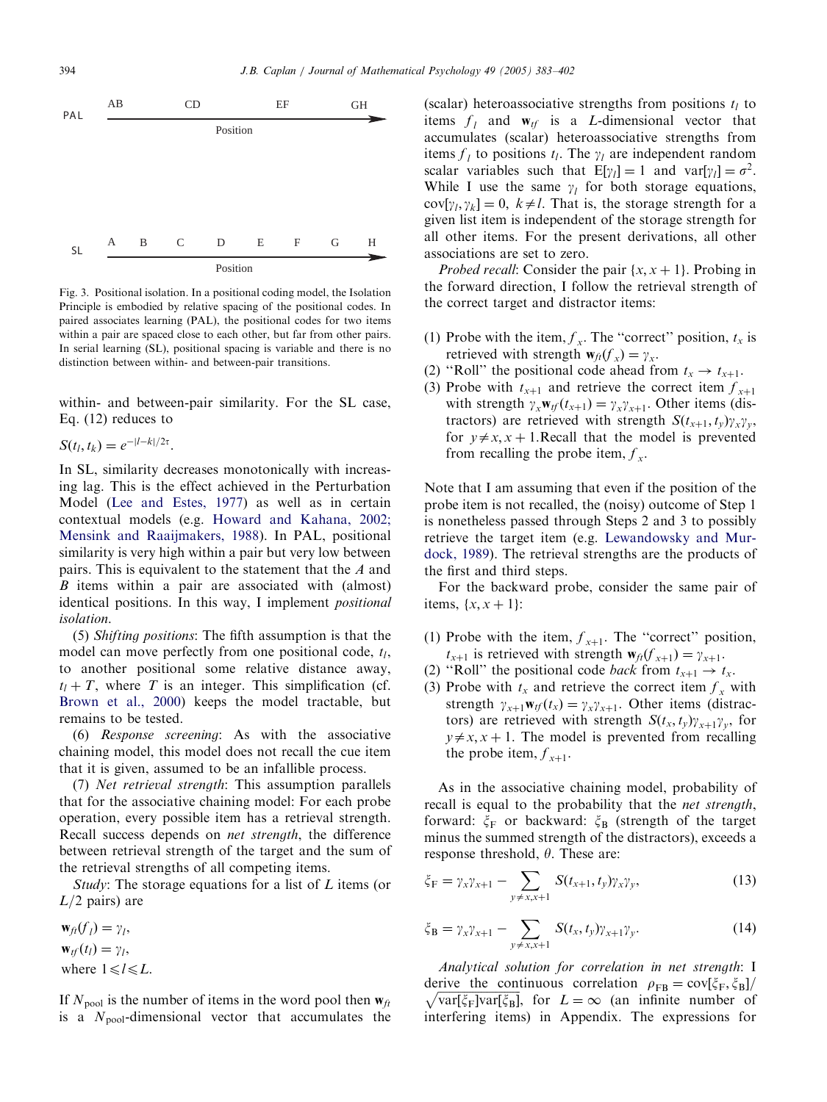<span id="page-11-0"></span>

Fig. 3. Positional isolation. In a positional coding model, the Isolation Principle is embodied by relative spacing of the positional codes. In paired associates learning (PAL), the positional codes for two items within a pair are spaced close to each other, but far from other pairs. In serial learning (SL), positional spacing is variable and there is no distinction between within- and between-pair transitions.

within- and between-pair similarity. For the SL case, Eq. (12) reduces to

$$
S(t_l, t_k) = e^{-|l-k|/2\tau}.
$$

In SL, similarity decreases monotonically with increasing lag. This is the effect achieved in the Perturbation Model [\(Lee and Estes, 1977](#page-19-0)) as well as in certain contextual models (e.g. [Howard and Kahana, 2002;](#page-19-0) [Mensink and Raaijmakers, 1988\)](#page-19-0). In PAL, positional similarity is very high within a pair but very low between pairs. This is equivalent to the statement that the A and B items within a pair are associated with (almost) identical positions. In this way, I implement positional isolation.

(5) Shifting positions:The fifth assumption is that the model can move perfectly from one positional code,  $t_l$ , to another positional some relative distance away,  $t_1 + T$ , where T is an integer. This simplification (cf. [Brown et al., 2000](#page-18-0)) keeps the model tractable, but remains to be tested.

 $(6)$  Response screening: As with the associative chaining model, this model does not recall the cue item that it is given, assumed to be an infallible process.

(7) Net retrieval strength: This assumption parallels that for the associative chaining model: For each probe operation, every possible item has a retrieval strength. Recall success depends on net strength, the difference between retrieval strength of the target and the sum of the retrieval strengths of all competing items.

Study: The storage equations for a list of  $L$  items (or  $L/2$  pairs) are

 $\mathbf{w}_{ft}(f_i) = \gamma_i,$  $\mathbf{w}_{tf}(t_l) = \gamma_l,$ where  $1 \le l \le L$ .

If  $N_{\text{pool}}$  is the number of items in the word pool then  $w_{ft}$ is a  $N_{\text{pool}}$ -dimensional vector that accumulates the (scalar) heteroassociative strengths from positions  $t_1$  to items  $f_l$  and  $w_{tf}$  is a *L*-dimensional vector that accumulates (scalar) heteroassociative strengths from items  $f_i$  to positions  $t_i$ . The  $\gamma_i$  are independent random scalar variables such that  $E[\gamma_l] = 1$  and  $var[\gamma_l] = \sigma^2$ . While I use the same  $\gamma_l$  for both storage equations,  $\text{cov}[y_l, y_k] = 0, \ k \neq l$ . That is, the storage strength for a given list item is independent of the storage strength for all other items. For the present derivations, all other associations are set to zero.

*Probed recall:* Consider the pair  $\{x, x + 1\}$ . Probing in the forward direction, I follow the retrieval strength of the correct target and distractor items:

- (1) Probe with the item,  $f_x$ . The "correct" position,  $t_x$  is retrieved with strength  $w_{ft}(f_{x}) = \gamma_{x}$ .
- (2) "Roll" the positional code ahead from  $t_x \rightarrow t_{x+1}$ .
- (3) Probe with  $t_{x+1}$  and retrieve the correct item  $f_{x+1}$ with strength  $\gamma_x \mathbf{w}_{tf}(t_{x+1}) = \gamma_x \gamma_{x+1}$ . Other items (distractors) are retrieved with strength  $S(t_{x+1}, t_y)\gamma_x\gamma_y$ , for  $y \neq x$ ,  $x + 1$ . Recall that the model is prevented from recalling the probe item,  $f<sub>x</sub>$ .

Note that I am assuming that even if the position of the probe item is not recalled, the (noisy) outcome of Step 1 is nonetheless passed through Steps 2 and 3 to possibly retrieve the target item (e.g. [Lewandowsky and Mur](#page-19-0)[dock, 1989](#page-19-0)). The retrieval strengths are the products of the first and third steps.

For the backward probe, consider the same pair of items,  $\{x, x + 1\}$ :

- (1) Probe with the item,  $f_{x+1}$ . The "correct" position,  $t_{x+1}$  is retrieved with strength  $\mathbf{w}_{ft}(f_{x+1}) = \gamma_{x+1}$ .
- (2) "Roll" the positional code back from  $t_{x+1} \rightarrow t_x$ .
- (3) Probe with  $t_x$  and retrieve the correct item  $f_x$  with strength  $\gamma_{x+1} \mathbf{w}_{tf}(t_x) = \gamma_x \gamma_{x+1}$ . Other items (distractors) are retrieved with strength  $S(t_x, t_y) \gamma_{x+1} \gamma_y$ , for  $y \neq x$ ,  $x + 1$ . The model is prevented from recalling the probe item,  $f_{x+1}$ .

As in the associative chaining model, probability of recall is equal to the probability that the net strength, forward:  $\zeta_F$  or backward:  $\zeta_B$  (strength of the target minus the summed strength of the distractors), exceeds a response threshold,  $\theta$ . These are:

$$
\zeta_{\rm F} = \gamma_x \gamma_{x+1} - \sum_{y \neq x, x+1} S(t_{x+1}, t_y) \gamma_x \gamma_y, \tag{13}
$$

$$
\zeta_{\mathbf{B}} = \gamma_x \gamma_{x+1} - \sum_{y \neq x, x+1} S(t_x, t_y) \gamma_{x+1} \gamma_y.
$$
 (14)

Analytical solution for correlation in net strength: I derive the continuous correlation  $\rho_{FB} = \text{cov}[\xi_F, \xi_B]$  $\sqrt{\text{var}[\xi_F]\text{var}[\xi_B]}$ , for  $L = \infty$  (an infinite number of interfering items) in Appendix. The expressions for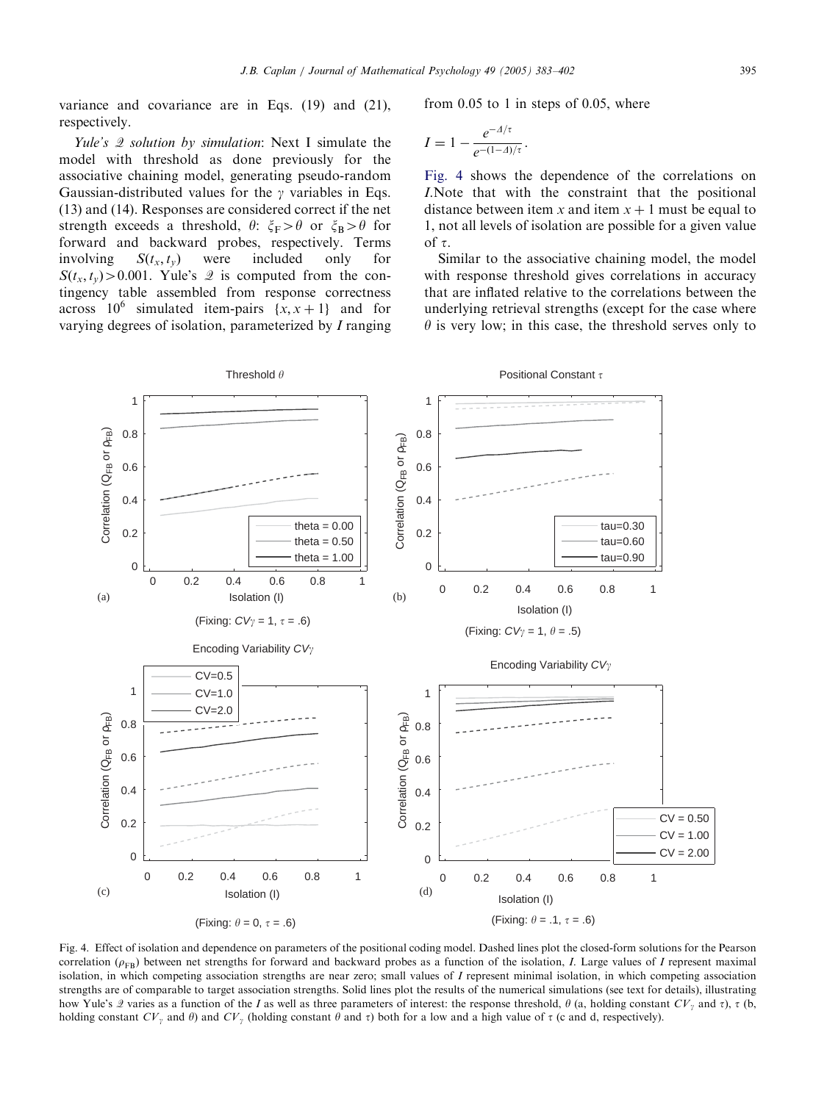<span id="page-12-0"></span>variance and covariance are in Eqs. (19) and (21), respectively.

Yule's 2 solution by simulation: Next I simulate the model with threshold as done previously for the associative chaining model, generating pseudo-random Gaussian-distributed values for the  $\gamma$  variables in Eqs. (13) and (14). Responses are considered correct if the net strength exceeds a threshold,  $\theta$ :  $\xi_F > \theta$  or  $\xi_B > \theta$  for forward and backward probes, respectively. Terms involving  $S(t_x, t_y)$  were included only for  $S(t_x,t_y) > 0.001$ . Yule's 2 is computed from the contingency table assembled from response correctness across 10<sup>6</sup> simulated item-pairs  $\{x, x+1\}$  and for varying degrees of isolation, parameterized by I ranging from  $0.05$  to 1 in steps of 0.05, where

$$
I = 1 - \frac{e^{-\Delta/\tau}}{e^{-(1-\Delta)/\tau}}.
$$

Fig. 4 shows the dependence of the correlations on I.Note that with the constraint that the positional distance between item x and item  $x + 1$  must be equal to 1, not all levels of isolation are possible for a given value of  $\tau$ .

Similar to the associative chaining model, the model with response threshold gives correlations in accuracy that are inflated relative to the correlations between the underlying retrieval strengths (except for the case where  $\theta$  is very low; in this case, the threshold serves only to



Fig. 4. Effect of isolation and dependence on parameters of the positional coding model. Dashed lines plot the closed-form solutions for the Pearson correlation ( $\rho_{FR}$ ) between net strengths for forward and backward probes as a function of the isolation, I. Large values of I represent maximal isolation, in which competing association strengths are near zero; small values of  $I$  represent minimal isolation, in which competing association strengths are of comparable to target association strengths. Solid lines plot the results of the numerical simulations (see text for details), illustrating how Yule's 2 varies as a function of the I as well as three parameters of interest: the response threshold,  $\theta$  (a, holding constant CV<sub>y</sub> and  $\tau$ ),  $\tau$  (b, holding constant  $CV_y$  and  $\theta$ ) and  $CV_y$  (holding constant  $\theta$  and  $\tau$ ) both for a low and a high value of  $\tau$  (c and d, respectively).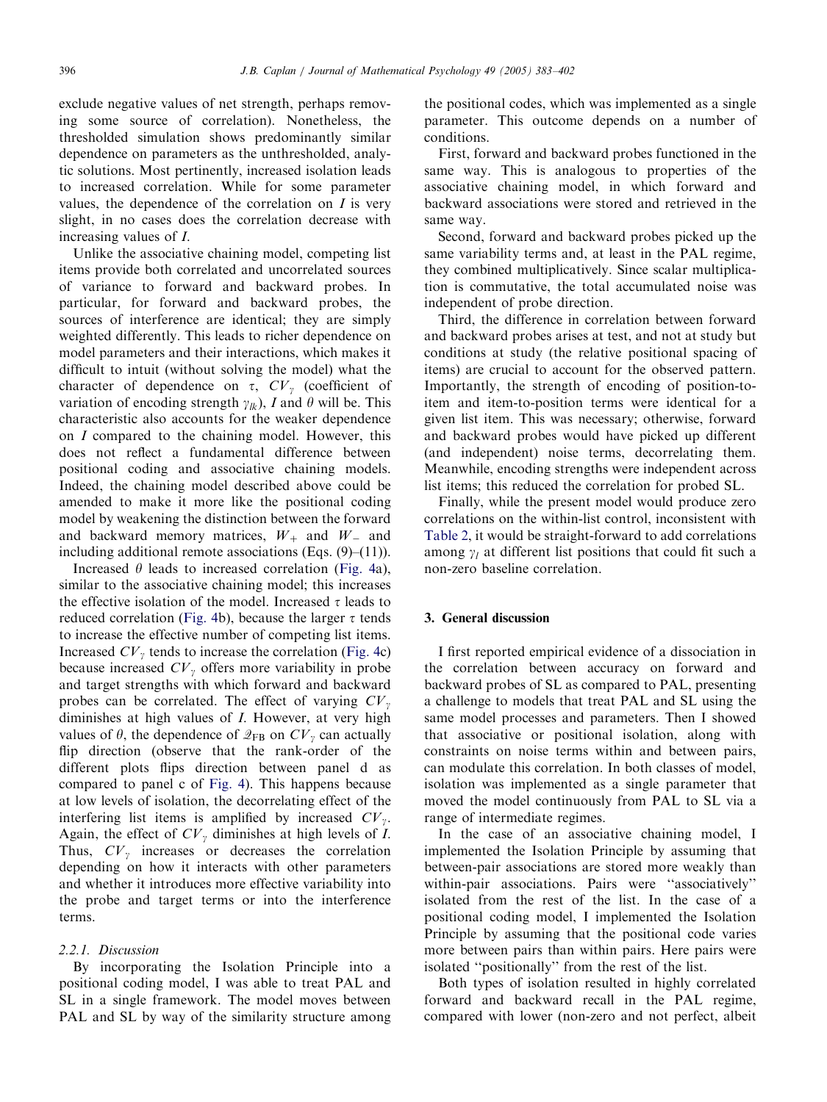exclude negative values of net strength, perhaps removing some source of correlation). Nonetheless, the thresholded simulation shows predominantly similar dependence on parameters as the unthresholded, analytic solutions. Most pertinently, increased isolation leads to increased correlation. While for some parameter values, the dependence of the correlation on  $I$  is very slight, in no cases does the correlation decrease with increasing values of I.

Unlike the associative chaining model, competing list items provide both correlated and uncorrelated sources of variance to forward and backward probes. In particular, for forward and backward probes, the sources of interference are identical; they are simply weighted differently. This leads to richer dependence on model parameters and their interactions, which makes it difficult to intuit (without solving the model) what the character of dependence on  $\tau$ ,  $CV_{\gamma}$  (coefficient of variation of encoding strength  $\gamma_{lk}$ ), I and  $\theta$  will be. This characteristic also accounts for the weaker dependence on I compared to the chaining model. However, this does not reflect a fundamental difference between positional coding and associative chaining models. Indeed, the chaining model described above could be amended to make it more like the positional coding model by weakening the distinction between the forward and backward memory matrices,  $W_+$  and  $W_-$  and including additional remote associations (Eqs. (9)–(11)).

Increased  $\theta$  leads to increased correlation [\(Fig. 4a](#page-12-0)), similar to the associative chaining model; this increases the effective isolation of the model. Increased  $\tau$  leads to reduced correlation [\(Fig. 4](#page-12-0)b), because the larger  $\tau$  tends to increase the effective number of competing list items. Increased  $CV<sub>y</sub>$  tends to increase the correlation [\(Fig. 4c](#page-12-0)) because increased  $CV<sub>y</sub>$  offers more variability in probe and target strengths with which forward and backward probes can be correlated. The effect of varying  $CV_y$ diminishes at high values of I. However, at very high values of  $\theta$ , the dependence of  $\mathcal{Q}_{FB}$  on  $CV_\gamma$  can actually flip direction (observe that the rank-order of the different plots flips direction between panel d as compared to panel c of [Fig. 4](#page-12-0)). This happens because at low levels of isolation, the decorrelating effect of the interfering list items is amplified by increased  $CV_{\gamma}$ . Again, the effect of  $CV_\gamma$  diminishes at high levels of I. Thus,  $CV_{\gamma}$  increases or decreases the correlation depending on how it interacts with other parameters and whether it introduces more effective variability into the probe and target terms or into the interference terms.

## 2.2.1. Discussion

By incorporating the Isolation Principle into a positional coding model, I was able to treat PAL and SL in a single framework. The model moves between PAL and SL by way of the similarity structure among the positional codes, which was implemented as a single parameter. This outcome depends on a number of conditions.

First, forward and backward probes functioned in the same way. This is analogous to properties of the associative chaining model, in which forward and backward associations were stored and retrieved in the same way.

Second, forward and backward probes picked up the same variability terms and, at least in the PAL regime, they combined multiplicatively. Since scalar multiplication is commutative, the total accumulated noise was independent of probe direction.

Third, the difference in correlation between forward and backward probes arises at test, and not at study but conditions at study (the relative positional spacing of items) are crucial to account for the observed pattern. Importantly, the strength of encoding of position-toitem and item-to-position terms were identical for a given list item. This was necessary; otherwise, forward and backward probes would have picked up different (and independent) noise terms, decorrelating them. Meanwhile, encoding strengths were independent across list items; this reduced the correlation for probed SL.

Finally, while the present model would produce zero correlations on the within-list control, inconsistent with [Table 2](#page-3-0), it would be straight-forward to add correlations among  $\gamma_l$  at different list positions that could fit such a non-zero baseline correlation.

## 3. General discussion

I first reported empirical evidence of a dissociation in the correlation between accuracy on forward and backward probes of SL as compared to PAL, presenting a challenge to models that treat PAL and SL using the same model processes and parameters. Then I showed that associative or positional isolation, along with constraints on noise terms within and between pairs, can modulate this correlation. In both classes of model, isolation was implemented as a single parameter that moved the model continuously from PAL to SL via a range of intermediate regimes.

In the case of an associative chaining model, I implemented the Isolation Principle by assuming that between-pair associations are stored more weakly than within-pair associations. Pairs were ''associatively'' isolated from the rest of the list. In the case of a positional coding model, I implemented the Isolation Principle by assuming that the positional code varies more between pairs than within pairs. Here pairs were isolated ''positionally'' from the rest of the list.

Both types of isolation resulted in highly correlated forward and backward recall in the PAL regime, compared with lower (non-zero and not perfect, albeit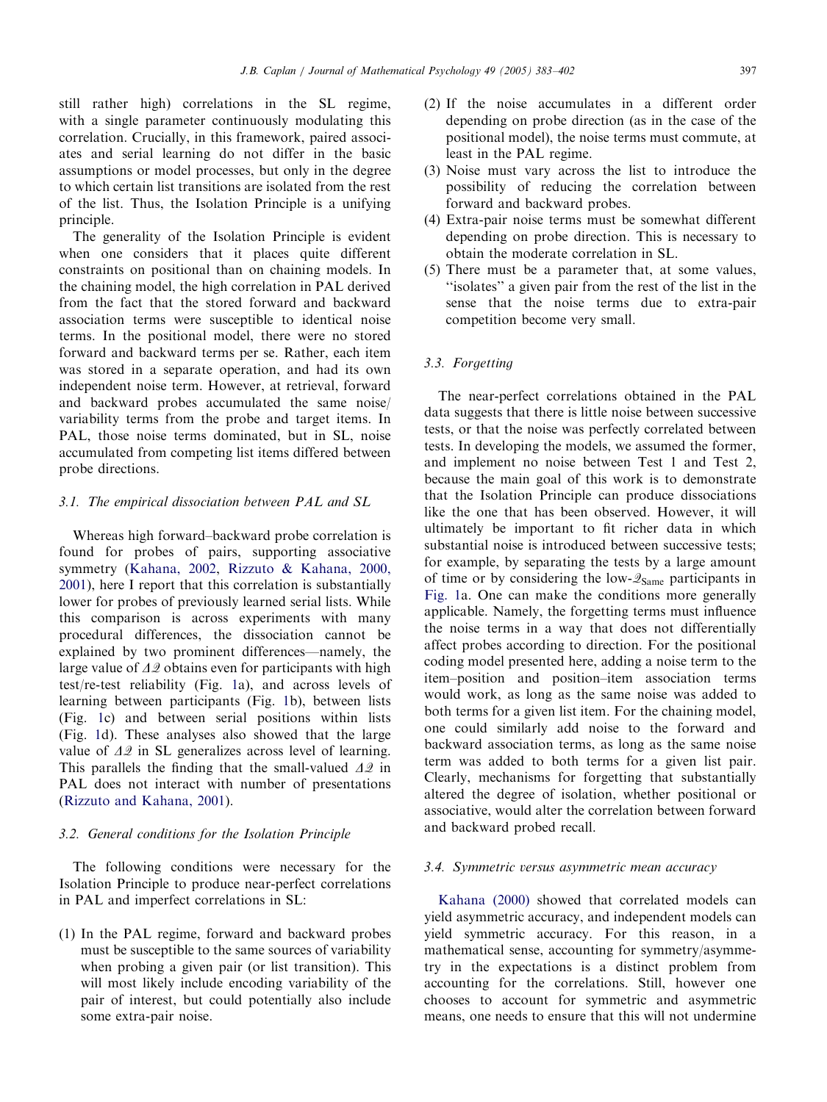still rather high) correlations in the SL regime, with a single parameter continuously modulating this correlation. Crucially, in this framework, paired associates and serial learning do not differ in the basic assumptions or model processes, but only in the degree to which certain list transitions are isolated from the rest of the list. Thus, the Isolation Principle is a unifying principle.

The generality of the Isolation Principle is evident when one considers that it places quite different constraints on positional than on chaining models. In the chaining model, the high correlation in PAL derived from the fact that the stored forward and backward association terms were susceptible to identical noise terms. In the positional model, there were no stored forward and backward terms per se. Rather, each item was stored in a separate operation, and had its own independent noise term. However, at retrieval, forward and backward probes accumulated the same noise/ variability terms from the probe and target items. In PAL, those noise terms dominated, but in SL, noise accumulated from competing list items differed between probe directions.

#### 3.1. The empirical dissociation between PAL and SL

Whereas high forward–backward probe correlation is found for probes of pairs, supporting associative symmetry [\(Kahana, 2002,](#page-19-0) [Rizzuto](#page-19-0) & [Kahana, 2000,](#page-19-0) [2001](#page-19-0)), here I report that this correlation is substantially lower for probes of previously learned serial lists. While this comparison is across experiments with many procedural differences, the dissociation cannot be explained by two prominent differences—namely, the large value of  $\Delta\mathcal{Q}$  obtains even for participants with high test/re-test reliability (Fig. [1a](#page-3-0)), and across levels of learning between participants (Fig. [1b](#page-3-0)), between lists (Fig. [1](#page-3-0)c) and between serial positions within lists (Fig. [1](#page-3-0)d). These analyses also showed that the large value of  $\Delta\mathcal{Q}$  in SL generalizes across level of learning. This parallels the finding that the small-valued  $\Delta\mathcal{Q}$  in PAL does not interact with number of presentations ([Rizzuto and Kahana, 2001](#page-19-0)).

## 3.2. General conditions for the Isolation Principle

The following conditions were necessary for the Isolation Principle to produce near-perfect correlations in PAL and imperfect correlations in SL:

(1) In the PAL regime, forward and backward probes must be susceptible to the same sources of variability when probing a given pair (or list transition). This will most likely include encoding variability of the pair of interest, but could potentially also include some extra-pair noise.

- (2) If the noise accumulates in a different order depending on probe direction (as in the case of the positional model), the noise terms must commute, at least in the PAL regime.
- (3) Noise must vary across the list to introduce the possibility of reducing the correlation between forward and backward probes.
- (4) Extra-pair noise terms must be somewhat different depending on probe direction. This is necessary to obtain the moderate correlation in SL.
- (5) There must be a parameter that, at some values, ''isolates'' a given pair from the rest of the list in the sense that the noise terms due to extra-pair competition become very small.

#### 3.3. Forgetting

The near-perfect correlations obtained in the PAL data suggests that there is little noise between successive tests, or that the noise was perfectly correlated between tests. In developing the models, we assumed the former, and implement no noise between Test 1 and Test 2, because the main goal of this work is to demonstrate that the Isolation Principle can produce dissociations like the one that has been observed. However, it will ultimately be important to fit richer data in which substantial noise is introduced between successive tests; for example, by separating the tests by a large amount of time or by considering the low- $\mathcal{Q}_{\text{Same}}$  participants in [Fig. 1](#page-3-0)a. One can make the conditions more generally applicable. Namely, the forgetting terms must influence the noise terms in a way that does not differentially affect probes according to direction. For the positional coding model presented here, adding a noise term to the item–position and position–item association terms would work, as long as the same noise was added to both terms for a given list item. For the chaining model, one could similarly add noise to the forward and backward association terms, as long as the same noise term was added to both terms for a given list pair. Clearly, mechanisms for forgetting that substantially altered the degree of isolation, whether positional or associative, would alter the correlation between forward and backward probed recall.

## 3.4. Symmetric versus asymmetric mean accuracy

[Kahana \(2000\)](#page-19-0) showed that correlated models can yield asymmetric accuracy, and independent models can yield symmetric accuracy. For this reason, in a mathematical sense, accounting for symmetry/asymmetry in the expectations is a distinct problem from accounting for the correlations. Still, however one chooses to account for symmetric and asymmetric means, one needs to ensure that this will not undermine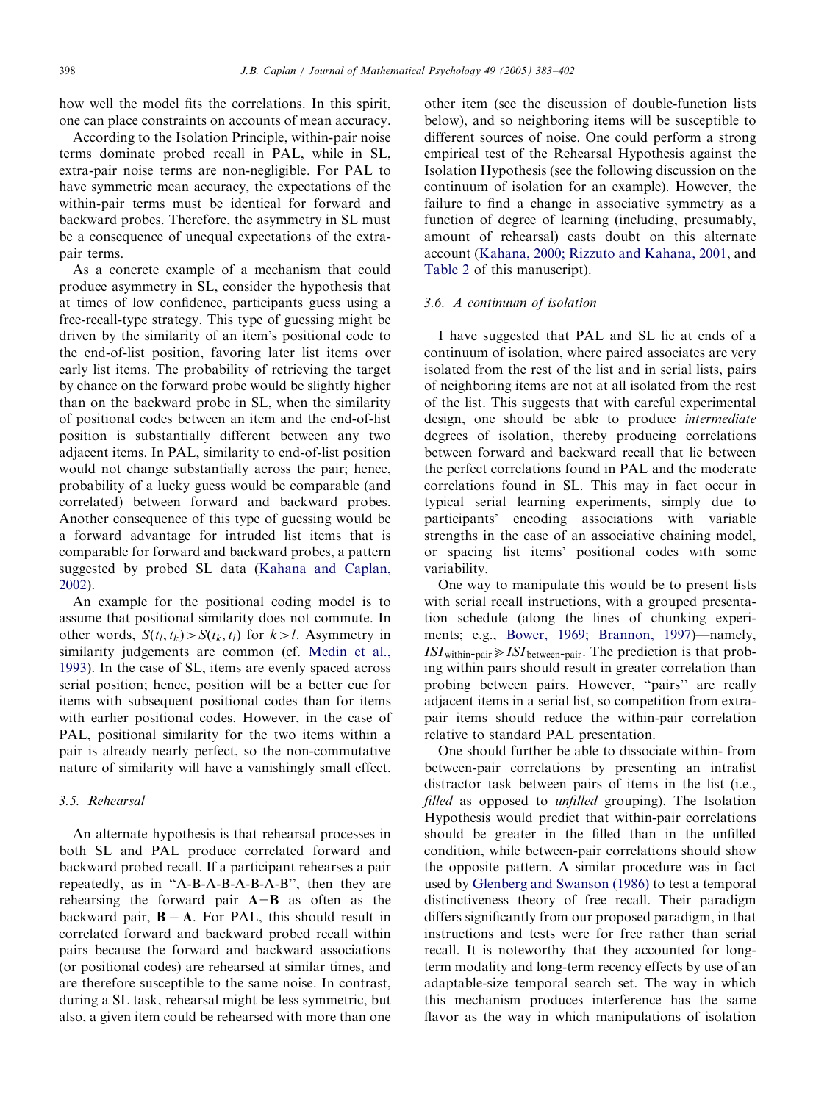how well the model fits the correlations. In this spirit, one can place constraints on accounts of mean accuracy.

According to the Isolation Principle, within-pair noise terms dominate probed recall in PAL, while in SL, extra-pair noise terms are non-negligible. For PAL to have symmetric mean accuracy, the expectations of the within-pair terms must be identical for forward and backward probes. Therefore, the asymmetry in SL must be a consequence of unequal expectations of the extrapair terms.

As a concrete example of a mechanism that could produce asymmetry in SL, consider the hypothesis that at times of low confidence, participants guess using a free-recall-type strategy. This type of guessing might be driven by the similarity of an item's positional code to the end-of-list position, favoring later list items over early list items. The probability of retrieving the target by chance on the forward probe would be slightly higher than on the backward probe in SL, when the similarity of positional codes between an item and the end-of-list position is substantially different between any two adjacent items. In PAL, similarity to end-of-list position would not change substantially across the pair; hence, probability of a lucky guess would be comparable (and correlated) between forward and backward probes. Another consequence of this type of guessing would be a forward advantage for intruded list items that is comparable for forward and backward probes, a pattern suggested by probed SL data ([Kahana and Caplan,](#page-19-0) [2002](#page-19-0)).

An example for the positional coding model is to assume that positional similarity does not commute. In other words,  $S(t_l, t_k) > S(t_k, t_l)$  for  $k > l$ . Asymmetry in similarity judgements are common (cf. [Medin et al.,](#page-19-0) [1993](#page-19-0)). In the case of SL, items are evenly spaced across serial position; hence, position will be a better cue for items with subsequent positional codes than for items with earlier positional codes. However, in the case of PAL, positional similarity for the two items within a pair is already nearly perfect, so the non-commutative nature of similarity will have a vanishingly small effect.

## 3.5. Rehearsal

An alternate hypothesis is that rehearsal processes in both SL and PAL produce correlated forward and backward probed recall. If a participant rehearses a pair repeatedly, as in ''A-B-A-B-A-B-A-B'', then they are rehearsing the forward pair  $A-B$  as often as the backward pair,  $B - A$ . For PAL, this should result in correlated forward and backward probed recall within pairs because the forward and backward associations (or positional codes) are rehearsed at similar times, and are therefore susceptible to the same noise. In contrast, during a SL task, rehearsal might be less symmetric, but also, a given item could be rehearsed with more than one

other item (see the discussion of double-function lists below), and so neighboring items will be susceptible to different sources of noise. One could perform a strong empirical test of the Rehearsal Hypothesis against the Isolation Hypothesis (see the following discussion on the continuum of isolation for an example). However, the failure to find a change in associative symmetry as a function of degree of learning (including, presumably, amount of rehearsal) casts doubt on this alternate account ([Kahana, 2000; Rizzuto and Kahana, 2001](#page-19-0), and [Table 2](#page-3-0) of this manuscript).

## 3.6. A continuum of isolation

I have suggested that PAL and SL lie at ends of a continuum of isolation, where paired associates are very isolated from the rest of the list and in serial lists, pairs of neighboring items are not at all isolated from the rest of the list. This suggests that with careful experimental design, one should be able to produce intermediate degrees of isolation, thereby producing correlations between forward and backward recall that lie between the perfect correlations found in PAL and the moderate correlations found in SL. This may in fact occur in typical serial learning experiments, simply due to participants' encoding associations with variable strengths in the case of an associative chaining model, or spacing list items' positional codes with some variability.

One way to manipulate this would be to present lists with serial recall instructions, with a grouped presentation schedule (along the lines of chunking experiments; e.g., [Bower, 1969; Brannon, 1997\)](#page-18-0)—namely,  $ISI_{\text{within-pair}}\geq ISI_{\text{between-pair}}$ . The prediction is that probing within pairs should result in greater correlation than probing between pairs. However, ''pairs'' are really adjacent items in a serial list, so competition from extrapair items should reduce the within-pair correlation relative to standard PAL presentation.

One should further be able to dissociate within- from between-pair correlations by presenting an intralist distractor task between pairs of items in the list (i.e., filled as opposed to unfilled grouping). The Isolation Hypothesis would predict that within-pair correlations should be greater in the filled than in the unfilled condition, while between-pair correlations should show the opposite pattern. A similar procedure was in fact used by [Glenberg and Swanson \(1986\)](#page-19-0) to test a temporal distinctiveness theory of free recall. Their paradigm differs significantly from our proposed paradigm, in that instructions and tests were for free rather than serial recall. It is noteworthy that they accounted for longterm modality and long-term recency effects by use of an adaptable-size temporal search set. The way in which this mechanism produces interference has the same flavor as the way in which manipulations of isolation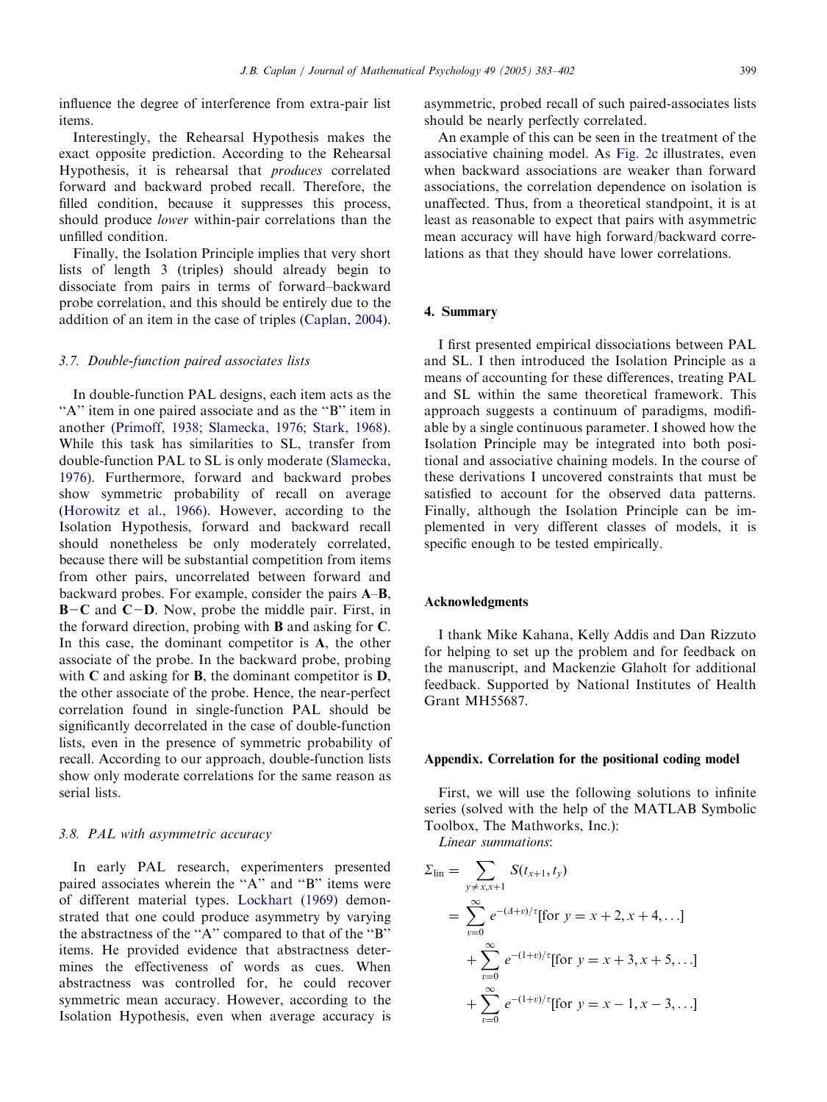influence the degree of interference from extra-pair list items.

Interestingly, the Rehearsal Hypothesis makes the exact opposite prediction. According to the Rehearsal Hypothesis, it is rehearsal that produces correlated forward and backward probed recall. Therefore, the filled condition, because it suppresses this process, should produce lower within-pair correlations than the unfilled condition.

Finally, the Isolation Principle implies that very short lists of length 3 (triples) should already begin to dissociate from pairs in terms of forward–backward probe correlation, and this should be entirely due to the addition of an item in the case of triples [\(Caplan, 2004\)](#page-18-0).

#### 3.7. Double-function paired associates lists

In double-function PAL designs, each item acts as the "A" item in one paired associate and as the "B" item in another [\(Primoff, 1938; Slamecka, 1976; Stark, 1968\)](#page-19-0). While this task has similarities to SL, transfer from double-function PAL to SL is only moderate [\(Slamecka,](#page-19-0) [1976](#page-19-0)). Furthermore, forward and backward probes show symmetric probability of recall on average ([Horowitz et al., 1966\)](#page-19-0). However, according to the Isolation Hypothesis, forward and backward recall should nonetheless be only moderately correlated, because there will be substantial competition from items from other pairs, uncorrelated between forward and backward probes. For example, consider the pairs A–B,  $B-C$  and  $C-D$ . Now, probe the middle pair. First, in the forward direction, probing with B and asking for C. In this case, the dominant competitor is A, the other associate of the probe. In the backward probe, probing with  $C$  and asking for  $B$ , the dominant competitor is  $D$ , the other associate of the probe. Hence, the near-perfect correlation found in single-function PAL should be significantly decorrelated in the case of double-function lists, even in the presence of symmetric probability of recall. According to our approach, double-function lists show only moderate correlations for the same reason as serial lists.

## 3.8. PAL with asymmetric accuracy

In early PAL research, experimenters presented paired associates wherein the "A" and "B" items were of different material types. [Lockhart \(1969\)](#page-19-0) demonstrated that one could produce asymmetry by varying the abstractness of the ''A'' compared to that of the ''B'' items. He provided evidence that abstractness determines the effectiveness of words as cues. When abstractness was controlled for, he could recover symmetric mean accuracy. However, according to the Isolation Hypothesis, even when average accuracy is

asymmetric, probed recall of such paired-associates lists should be nearly perfectly correlated.

An example of this can be seen in the treatment of the associative chaining model. As [Fig. 2](#page-9-0)c illustrates, even when backward associations are weaker than forward associations, the correlation dependence on isolation is unaffected. Thus, from a theoretical standpoint, it is at least as reasonable to expect that pairs with asymmetric mean accuracy will have high forward/backward correlations as that they should have lower correlations.

## 4. Summary

I first presented empirical dissociations between PAL and SL. I then introduced the Isolation Principle as a means of accounting for these differences, treating PAL and SL within the same theoretical framework. This approach suggests a continuum of paradigms, modifiable by a single continuous parameter. I showed how the Isolation Principle may be integrated into both positional and associative chaining models. In the course of these derivations I uncovered constraints that must be satisfied to account for the observed data patterns. Finally, although the Isolation Principle can be implemented in very different classes of models, it is specific enough to be tested empirically.

## Acknowledgments

I thank Mike Kahana, Kelly Addis and Dan Rizzuto for helping to set up the problem and for feedback on the manuscript, and Mackenzie Glaholt for additional feedback. Supported by National Institutes of Health Grant MH55687.

#### Appendix. Correlation for the positional coding model

First, we will use the following solutions to infinite series (solved with the help of the MATLAB Symbolic Toolbox, The Mathworks, Inc.):

Linear summations:

$$
\Sigma_{\text{lin}} = \sum_{y \neq x, x+1} S(t_{x+1}, t_y)
$$
  
= 
$$
\sum_{v=0}^{\infty} e^{-(4+v)/\tau} [\text{for } y = x+2, x+4, \ldots]
$$
  
+ 
$$
\sum_{v=0}^{\infty} e^{-(1+v)/\tau} [\text{for } y = x+3, x+5, \ldots]
$$
  
+ 
$$
\sum_{v=0}^{\infty} e^{-(1+v)/\tau} [\text{for } y = x-1, x-3, \ldots]
$$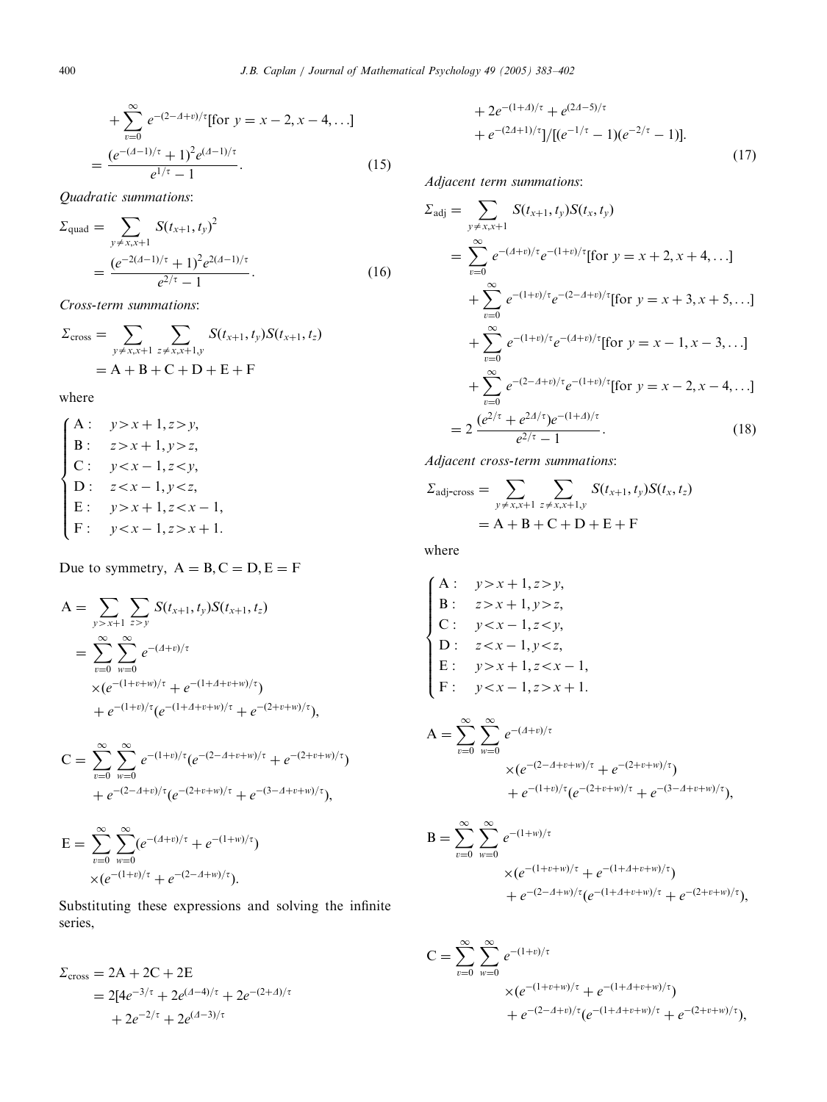$$
+\sum_{v=0}^{\infty} e^{-(2-4+v)/\tau} \text{[for } y = x - 2, x - 4, \ldots]
$$

$$
=\frac{(e^{-(4-1)/\tau} + 1)^2 e^{(4-1)/\tau}}{e^{1/\tau} - 1}.
$$
(15)

Quadratic summations:

$$
\Sigma_{\text{quad}} = \sum_{y \neq x, x+1} S(t_{x+1}, t_y)^2
$$

$$
= \frac{(e^{-2(A-1)/\tau} + 1)^2 e^{2(A-1)/\tau}}{e^{2/\tau} - 1}.
$$
(16)

Cross-term summations:

$$
\Sigma_{\text{cross}} = \sum_{y \neq x, x+1} \sum_{z \neq x, x+1, y} S(t_{x+1}, t_y) S(t_{x+1}, t_z)
$$

$$
= A + B + C + D + E + F
$$

where

$$
\begin{cases}\nA: & y > x + 1, z > y, \\
B: & z > x + 1, y > z, \\
C: & y < x - 1, z < y, \\
D: & z < x - 1, y < z, \\
E: & y > x + 1, z < x - 1, \\
F: & y < x - 1, z > x + 1.\n\end{cases}
$$

Due to symmetry,  $A = B, C = D, E = F$ 

$$
A = \sum_{y>x+1} \sum_{z>y} S(t_{x+1}, t_y) S(t_{x+1}, t_z)
$$
  
= 
$$
\sum_{v=0}^{\infty} \sum_{w=0}^{\infty} e^{-(4+v)/\tau}
$$
  

$$
\times (e^{-(1+v+w)/\tau} + e^{-(1+4+v+w)/\tau})
$$
  
+ 
$$
e^{-(1+v)/\tau} (e^{-(1+4+v+w)/\tau} + e^{-(2+v+w)/\tau}),
$$

$$
C = \sum_{v=0}^{\infty} \sum_{w=0}^{\infty} e^{-(1+v)/\tau} (e^{-(2-A+v+w)/\tau} + e^{-(2+v+w)/\tau})
$$
  
+  $e^{-(2-A+v)/\tau} (e^{-(2+v+w)/\tau} + e^{-(3-A+v+w)/\tau}),$ 

$$
E = \sum_{v=0}^{\infty} \sum_{w=0}^{\infty} (e^{-(A+v)/\tau} + e^{-(1+w)/\tau})
$$
  
 
$$
\times (e^{-(1+v)/\tau} + e^{-(2-A+w)/\tau}).
$$

Substituting these expressions and solving the infinite series,

$$
\Sigma_{\text{cross}} = 2A + 2C + 2E
$$
  
= 2[4e<sup>-3/τ</sup> + 2e<sup>(A-4)/τ</sup> + 2e<sup>-(2+A)/τ</sup>  
+ 2e<sup>-2/τ</sup> + 2e<sup>(A-3)/τ</sup>

+ 
$$
2e^{-(1+4)/\tau} + e^{(24-5)/\tau}
$$
  
+  $e^{-(24+1)/\tau}$ ]/[( $e^{-1/\tau} - 1$ )( $e^{-2/\tau} - 1$ )]. (17)

Adjacent term summations:

$$
\Sigma_{\text{adj}} = \sum_{y \neq x, x+1} S(t_{x+1}, t_y) S(t_x, t_y)
$$
\n
$$
= \sum_{v=0}^{\infty} e^{-(A+v)/\tau} e^{-(1+v)/\tau} [\text{for } y = x+2, x+4, \ldots]
$$
\n
$$
+ \sum_{v=0}^{\infty} e^{-(1+v)/\tau} e^{-(2-A+v)/\tau} [\text{for } y = x+3, x+5, \ldots]
$$
\n
$$
+ \sum_{v=0}^{\infty} e^{-(1+v)/\tau} e^{-(A+v)/\tau} [\text{for } y = x-1, x-3, \ldots]
$$
\n
$$
+ \sum_{v=0}^{\infty} e^{-(2-A+v)/\tau} e^{-(1+v)/\tau} [\text{for } y = x-2, x-4, \ldots]
$$
\n
$$
= 2 \frac{(e^{2/\tau} + e^{2A/\tau})e^{-(1+A)/\tau}}{e^{2/\tau} - 1}. \tag{18}
$$

Adjacent cross-term summations:

$$
\Sigma_{\text{adj-cross}} = \sum_{y \neq x, x+1} \sum_{z \neq x, x+1, y} S(t_{x+1}, t_y) S(t_x, t_z)
$$
  
= A + B + C + D + E + F

where

$$
\begin{cases}\nA: & y > x + 1, z > y, \\
B: & z > x + 1, y > z, \\
C: & y < x - 1, z < y, \\
D: & z < x - 1, y < z, \\
E: & y > x + 1, z < x - 1, \\
F: & y < x - 1, z > x + 1.\n\end{cases}
$$

$$
A = \sum_{v=0}^{\infty} \sum_{w=0}^{\infty} e^{-(A+v)/\tau} \times (e^{-(2-A+v+w)/\tau} + e^{-(2+v+w)/\tau}) \n+ e^{-(1+v)/\tau} (e^{-(2+v+w)/\tau} + e^{-(3-A+v+w)/\tau}),
$$

$$
B = \sum_{v=0}^{\infty} \sum_{w=0}^{\infty} e^{-(1+w)/\tau} \times (e^{-(1+v+w)/\tau} + e^{-(1+A+v+w)/\tau}) + e^{-(2-A+w)/\tau} (e^{-(1+A+v+w)/\tau} + e^{-(2+v+w)/\tau}),
$$

$$
C = \sum_{v=0}^{\infty} \sum_{w=0}^{\infty} e^{-(1+v)/\tau} \times (e^{-(1+v+w)/\tau} + e^{-(1+4+v+w)/\tau}) + e^{-(2-4+v)/\tau} (e^{-(1+4+v+w)/\tau} + e^{-(2+v+w)/\tau}),
$$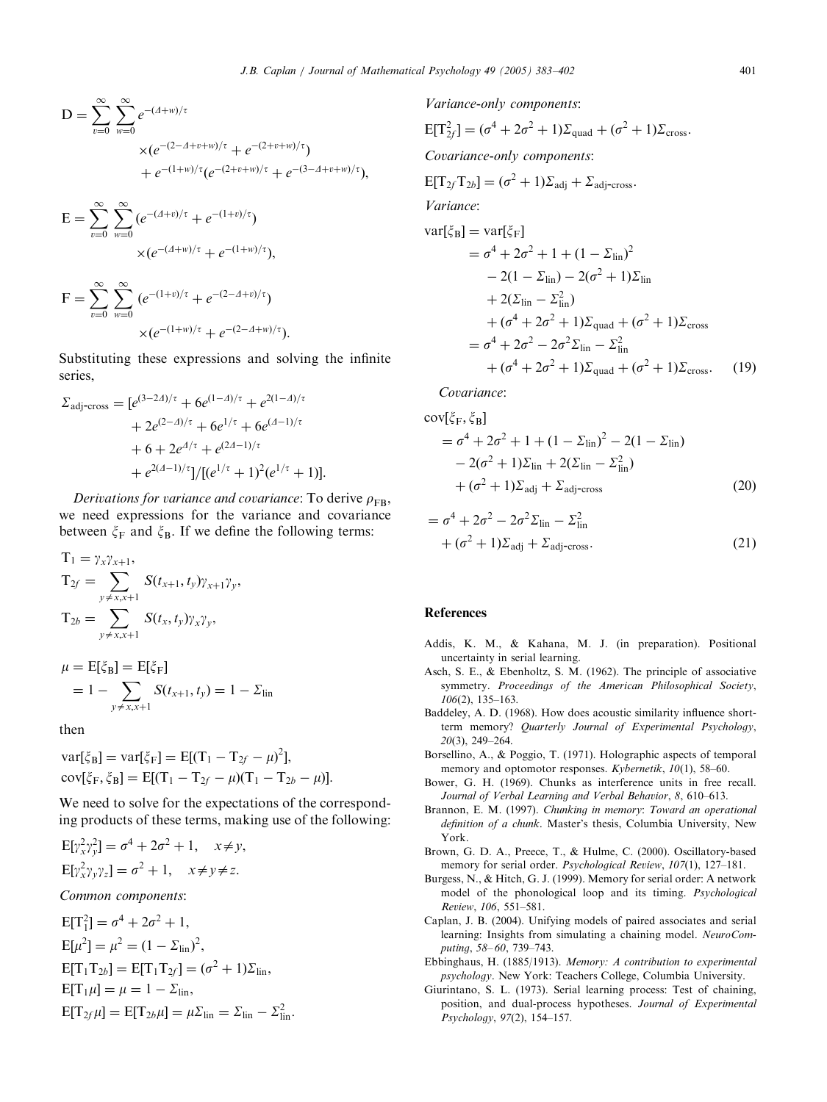<span id="page-18-0"></span>
$$
D = \sum_{v=0}^{\infty} \sum_{w=0}^{\infty} e^{-(A+w)/\tau} \times (e^{-(2-A+v+w)/\tau} + e^{-(2+v+w)/\tau}) + e^{-(1+w)/\tau} (e^{-(2+v+w)/\tau} + e^{-(3-A+v+w)/\tau}),
$$

$$
E = \sum_{v=0}^{\infty} \sum_{w=0}^{\infty} (e^{-(A+v)/\tau} + e^{-(1+v)/\tau})
$$
  
 
$$
\times (e^{-(A+w)/\tau} + e^{-(1+w)/\tau}),
$$
  
\n
$$
F = \sum_{v=0}^{\infty} \sum_{w=0}^{\infty} (e^{-(1+v)/\tau} + e^{-(2-A+v)/\tau})
$$
  
\n
$$
\times (e^{-(1+w)/\tau} + e^{-(2-A+w)/\tau}).
$$

Substituting these expressions and solving the infinite series,

$$
\Sigma_{\text{adj-cross}} = [e^{(3-24)/\tau} + 6e^{(1-4)/\tau} + e^{2(1-4)/\tau} \n+ 2e^{(2-4)/\tau} + 6e^{1/\tau} + 6e^{(4-1)/\tau} \n+ 6 + 2e^{4/\tau} + e^{(24-1)/\tau} \n+ e^{2(4-1)/\tau}]/[(e^{1/\tau} + 1)^2(e^{1/\tau} + 1)].
$$

Derivations for variance and covariance: To derive  $\rho_{FB}$ , we need expressions for the variance and covariance between  $\zeta_F$  and  $\zeta_B$ . If we define the following terms:

$$
T_1 = \gamma_x \gamma_{x+1},
$$
  
\n
$$
T_{2f} = \sum_{y \neq x, x+1} S(t_{x+1}, t_y) \gamma_{x+1} \gamma_y,
$$
  
\n
$$
T_{2b} = \sum_{y \neq x, x+1} S(t_x, t_y) \gamma_x \gamma_y,
$$

$$
\mu = \mathbb{E}[\xi_{\text{B}}] = \mathbb{E}[\xi_{\text{F}}]
$$
  
= 1 -  $\sum_{y \neq x, x+1} S(t_{x+1}, t_y) = 1 - \Sigma_{\text{lin}}$ 

then

$$
var[\xi_B] = var[\xi_F] = E[(T_1 - T_{2f} - \mu)^2],
$$
  
\n
$$
cov[\xi_F, \xi_B] = E[(T_1 - T_{2f} - \mu)(T_1 - T_{2b} - \mu)].
$$

We need to solve for the expectations of the corresponding products of these terms, making use of the following:

$$
E[\gamma_x^2 \gamma_y^2] = \sigma^4 + 2\sigma^2 + 1, \quad x \neq y,
$$
  
\n
$$
E[\gamma_x^2 \gamma_y \gamma_z] = \sigma^2 + 1, \quad x \neq y \neq z.
$$

Common components:

$$
E[T_1^2] = \sigma^4 + 2\sigma^2 + 1,
$$
  
\n
$$
E[\mu^2] = \mu^2 = (1 - \Sigma_{\text{lin}})^2,
$$
  
\n
$$
E[T_1T_{2b}] = E[T_1T_{2f}] = (\sigma^2 + 1)\Sigma_{\text{lin}},
$$
  
\n
$$
E[T_1\mu] = \mu = 1 - \Sigma_{\text{lin}},
$$
  
\n
$$
E[T_{2f}\mu] = E[T_{2b}\mu] = \mu\Sigma_{\text{lin}} = \Sigma_{\text{lin}} - \Sigma_{\text{lin}}^2.
$$

Variance-only components:

$$
E[T_{2f}^{2}] = (\sigma^{4} + 2\sigma^{2} + 1)\Sigma_{quad} + (\sigma^{2} + 1)\Sigma_{cross}.
$$
  
\n
$$
Covariance-only components:
$$
  
\n
$$
E[T_{2f}T_{2b}] = (\sigma^{2} + 1)\Sigma_{adj} + \Sigma_{adj-cross}.
$$
  
\n
$$
Variance:
$$
  
\n
$$
var[\xi_{B}] = var[\xi_{F}]
$$
  
\n
$$
= \sigma^{4} + 2\sigma^{2} + 1 + (1 - \Sigma_{lin})^{2}
$$
  
\n
$$
- 2(1 - \Sigma_{lin}) - 2(\sigma^{2} + 1)\Sigma_{lin}
$$
  
\n
$$
+ 2(\Sigma_{lin} - \Sigma_{lin}^{2})
$$
  
\n
$$
+ (\sigma^{4} + 2\sigma^{2} + 1)\Sigma_{quad} + (\sigma^{2} + 1)\Sigma_{cross}
$$
  
\n
$$
= \sigma^{4} + 2\sigma^{2} - 2\sigma^{2}\Sigma_{lin} - \Sigma_{lin}^{2}
$$
  
\n
$$
+ (\sigma^{4} + 2\sigma^{2} + 1)\Sigma_{quad} + (\sigma^{2} + 1)\Sigma_{cross}.
$$
  
\n(19)

Covariance:

$$
cov[\xi_F, \xi_B]
$$
  
=  $\sigma^4 + 2\sigma^2 + 1 + (1 - \Sigma_{lin})^2 - 2(1 - \Sigma_{lin})$   
- 2( $\sigma^2$  + 1) $\Sigma_{lin}$  + 2( $\Sigma_{lin}$  -  $\Sigma_{lin}^2$ )  
+ ( $\sigma^2$  + 1) $\Sigma_{adj}$  + Σ<sub>adj-cross</sub> (20)

$$
= \sigma^4 + 2\sigma^2 - 2\sigma^2 \Sigma_{\text{lin}} - \Sigma_{\text{lin}}^2
$$
  
+ 
$$
(\sigma^2 + 1)\Sigma_{\text{adj}} + \Sigma_{\text{adj-cross}}.
$$
 (21)

#### References

- Addis, K. M., & Kahana, M. J. (in preparation). Positional uncertainty in serial learning.
- Asch, S. E., & Ebenholtz, S. M. (1962). The principle of associative symmetry. Proceedings of the American Philosophical Society, 106(2), 135–163.
- Baddeley, A. D. (1968). How does acoustic similarity influence shortterm memory? Quarterly Journal of Experimental Psychology, 20(3), 249–264.
- Borsellino, A., & Poggio, T. (1971). Holographic aspects of temporal memory and optomotor responses. Kybernetik, 10(1), 58–60.
- Bower, G. H. (1969). Chunks as interference units in free recall. Journal of Verbal Learning and Verbal Behavior, 8, 610–613.
- Brannon, E. M. (1997). Chunking in memory: Toward an operational definition of a chunk. Master's thesis, Columbia University, New York.
- Brown, G. D. A., Preece, T., & Hulme, C. (2000). Oscillatory-based memory for serial order. Psychological Review, 107(1), 127–181.
- Burgess, N., & Hitch, G. J. (1999). Memory for serial order: A network model of the phonological loop and its timing. Psychological Review, 106, 551–581.
- Caplan, J. B. (2004). Unifying models of paired associates and serial learning: Insights from simulating a chaining model. NeuroComputing, 58-60, 739-743.
- Ebbinghaus, H. (1885/1913). Memory: A contribution to experimental psychology. New York: Teachers College, Columbia University.
- Giurintano, S. L. (1973). Serial learning process: Test of chaining, position, and dual-process hypotheses. Journal of Experimental Psychology, 97(2), 154–157.